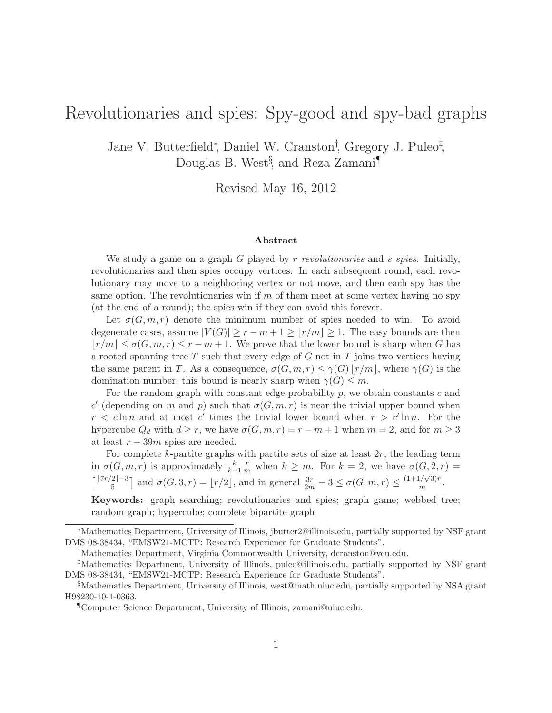# Revolutionaries and spies: Spy-good and spy-bad graphs

Jane V. Butterfield<sup>∗</sup> , Daniel W. Cranston† , Gregory J. Puleo‡ , Douglas B. West§ , and Reza Zamani¶

Revised May 16, 2012

#### Abstract

We study a game on a graph G played by  $r$  revolutionaries and s spies. Initially, revolutionaries and then spies occupy vertices. In each subsequent round, each revolutionary may move to a neighboring vertex or not move, and then each spy has the same option. The revolutionaries win if  $m$  of them meet at some vertex having no spy (at the end of a round); the spies win if they can avoid this forever.

Let  $\sigma(G, m, r)$  denote the minimum number of spies needed to win. To avoid degenerate cases, assume  $|V(G)| \geq r - m + 1 \geq |r/m| \geq 1$ . The easy bounds are then  $|r/m| \leq \sigma(G, m, r) \leq r - m + 1$ . We prove that the lower bound is sharp when G has a rooted spanning tree  $T$  such that every edge of  $G$  not in  $T$  joins two vertices having the same parent in T. As a consequence,  $\sigma(G, m, r) \leq \gamma(G) \lfloor r/m \rfloor$ , where  $\gamma(G)$  is the domination number; this bound is nearly sharp when  $\gamma(G) \leq m$ .

For the random graph with constant edge-probability p, we obtain constants c and c' (depending on m and p) such that  $\sigma(G, m, r)$  is near the trivial upper bound when  $r < c \ln n$  and at most c' times the trivial lower bound when  $r > c' \ln n$ . For the hypercube  $Q_d$  with  $d \geq r$ , we have  $\sigma(G, m, r) = r - m + 1$  when  $m = 2$ , and for  $m \geq 3$ at least  $r - 39m$  spies are needed.

For complete  $k$ -partite graphs with partite sets of size at least  $2r$ , the leading term in  $\sigma(G, m, r)$  is approximately  $\frac{k}{k-1}$  $\frac{r}{m}$  when  $k \geq m$ . For  $k = 2$ , we have  $\sigma(G, 2, r) =$  $\lceil \frac{\lfloor 7r/2 \rfloor - 3}{5} \rceil$  and  $\sigma(G, 3, r) = \lfloor r/2 \rfloor$ , and in general  $\frac{3r}{2m} - 3 \leq \sigma(G, m, r) \leq \frac{(1 + 1/\sqrt{3})r}{m}$  $\frac{N}{m}$ .

Keywords: graph searching; revolutionaries and spies; graph game; webbed tree; random graph; hypercube; complete bipartite graph

<sup>∗</sup>Mathematics Department, University of Illinois, jbutter2@illinois.edu, partially supported by NSF grant DMS 08-38434, "EMSW21-MCTP: Research Experience for Graduate Students".

<sup>†</sup>Mathematics Department, Virginia Commonwealth University, dcranston@vcu.edu.

<sup>‡</sup>Mathematics Department, University of Illinois, puleo@illinois.edu, partially supported by NSF grant DMS 08-38434, "EMSW21-MCTP: Research Experience for Graduate Students".

<sup>§</sup>Mathematics Department, University of Illinois, west@math.uiuc.edu, partially supported by NSA grant H98230-10-1-0363.

<sup>¶</sup>Computer Science Department, University of Illinois, zamani@uiuc.edu.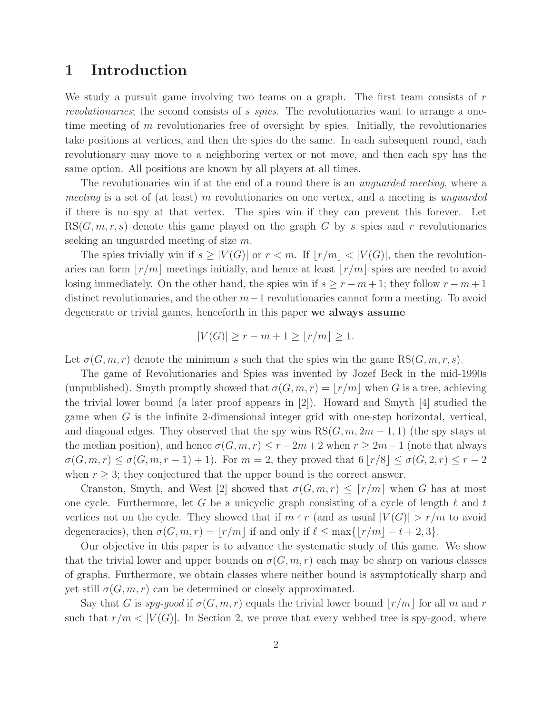### 1 Introduction

We study a pursuit game involving two teams on a graph. The first team consists of  $r$ *revolutionaries*; the second consists of s *spies*. The revolutionaries want to arrange a onetime meeting of m revolutionaries free of oversight by spies. Initially, the revolutionaries take positions at vertices, and then the spies do the same. In each subsequent round, each revolutionary may move to a neighboring vertex or not move, and then each spy has the same option. All positions are known by all players at all times.

The revolutionaries win if at the end of a round there is an *unguarded meeting*, where a *meeting* is a set of (at least) m revolutionaries on one vertex, and a meeting is *unguarded* if there is no spy at that vertex. The spies win if they can prevent this forever. Let  $RS(G, m, r, s)$  denote this game played on the graph G by s spies and r revolutionaries seeking an unguarded meeting of size m.

The spies trivially win if  $s \geq |V(G)|$  or  $r < m$ . If  $|r/m| < |V(G)|$ , then the revolutionaries can form  $|r/m|$  meetings initially, and hence at least  $|r/m|$  spies are needed to avoid losing immediately. On the other hand, the spies win if  $s \geq r - m + 1$ ; they follow  $r - m + 1$ distinct revolutionaries, and the other  $m-1$  revolutionaries cannot form a meeting. To avoid degenerate or trivial games, henceforth in this paper we always assume

$$
|V(G)| \ge r - m + 1 \ge \lfloor r/m \rfloor \ge 1.
$$

Let  $\sigma(G, m, r)$  denote the minimum s such that the spies win the game  $RS(G, m, r, s)$ .

The game of Revolutionaries and Spies was invented by Jozef Beck in the mid-1990s (unpublished). Smyth promptly showed that  $\sigma(G,m,r) = |r/m|$  when G is a tree, achieving the trivial lower bound (a later proof appears in [2]). Howard and Smyth [4] studied the game when G is the infinite 2-dimensional integer grid with one-step horizontal, vertical, and diagonal edges. They observed that the spy wins  $RS(G, m, 2m - 1, 1)$  (the spy stays at the median position), and hence  $\sigma(G, m, r) \leq r - 2m + 2$  when  $r \geq 2m - 1$  (note that always  $\sigma(G,m,r) \leq \sigma(G,m,r-1)+1$ ). For  $m=2$ , they proved that  $6|r/8| \leq \sigma(G,2,r) \leq r-2$ when  $r \geq 3$ ; they conjectured that the upper bound is the correct answer.

Cranston, Smyth, and West [2] showed that  $\sigma(G,m,r) \leq [r/m]$  when G has at most one cycle. Furthermore, let G be a unicyclic graph consisting of a cycle of length  $\ell$  and t vertices not on the cycle. They showed that if  $m \nmid r$  (and as usual  $|V(G)| > r/m$  to avoid degeneracies), then  $\sigma(G,m,r) = |r/m|$  if and only if  $\ell \leq \max\{|r/m| - t + 2, 3\}.$ 

Our objective in this paper is to advance the systematic study of this game. We show that the trivial lower and upper bounds on  $\sigma(G,m,r)$  each may be sharp on various classes of graphs. Furthermore, we obtain classes where neither bound is asymptotically sharp and yet still  $\sigma(G,m,r)$  can be determined or closely approximated.

Say that G is *spy-good* if  $\sigma(G, m, r)$  equals the trivial lower bound  $\lfloor r/m \rfloor$  for all m and r such that  $r/m < |V(G)|$ . In Section 2, we prove that every webbed tree is spy-good, where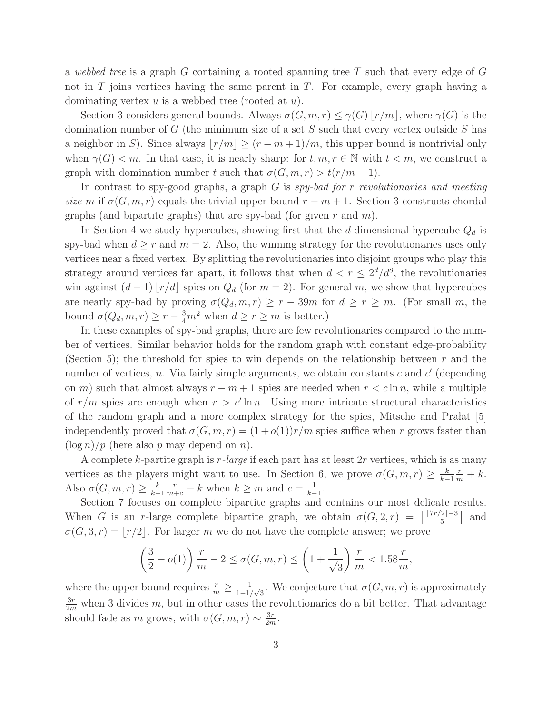a *webbed tree* is a graph G containing a rooted spanning tree T such that every edge of G not in  $T$  joins vertices having the same parent in  $T$ . For example, every graph having a dominating vertex  $u$  is a webbed tree (rooted at  $u$ ).

Section 3 considers general bounds. Always  $\sigma(G,m,r) \leq \gamma(G) |r/m|$ , where  $\gamma(G)$  is the domination number of  $G$  (the minimum size of a set  $S$  such that every vertex outside  $S$  has a neighbor in S). Since always  $|r/m| \ge (r-m+1)/m$ , this upper bound is nontrivial only when  $\gamma(G) < m$ . In that case, it is nearly sharp: for  $t, m, r \in \mathbb{N}$  with  $t < m$ , we construct a graph with domination number t such that  $\sigma(G,m,r) > t(r/m - 1)$ .

In contrast to spy-good graphs, a graph G is *spy-bad for* r *revolutionaries and meeting size* m if  $\sigma(G, m, r)$  equals the trivial upper bound  $r - m + 1$ . Section 3 constructs chordal graphs (and bipartite graphs) that are spy-bad (for given r and  $m$ ).

In Section 4 we study hypercubes, showing first that the d-dimensional hypercube  $Q_d$  is spy-bad when  $d \geq r$  and  $m = 2$ . Also, the winning strategy for the revolutionaries uses only vertices near a fixed vertex. By splitting the revolutionaries into disjoint groups who play this strategy around vertices far apart, it follows that when  $d < r \leq 2^d/d^8$ , the revolutionaries win against  $(d-1) \lfloor r/d \rfloor$  spies on  $Q_d$  (for  $m = 2$ ). For general m, we show that hypercubes are nearly spy-bad by proving  $\sigma(Q_d,m,r) \geq r - 39m$  for  $d \geq r \geq m$ . (For small m, the bound  $\sigma(Q_d, m, r) \ge r - \frac{3}{4}m^2$  when  $d \ge r \ge m$  is better.)

In these examples of spy-bad graphs, there are few revolutionaries compared to the number of vertices. Similar behavior holds for the random graph with constant edge-probability (Section 5); the threshold for spies to win depends on the relationship between  $r$  and the number of vertices, n. Via fairly simple arguments, we obtain constants c and  $c'$  (depending on m) such that almost always  $r - m + 1$  spies are needed when  $r < c \ln n$ , while a multiple of  $r/m$  spies are enough when  $r > c' \ln n$ . Using more intricate structural characteristics of the random graph and a more complex strategy for the spies, Mitsche and Pra $\text{data}$  [5] independently proved that  $\sigma(G,m,r) = (1+o(1))r/m$  spies suffice when r grows faster than  $(\log n)/p$  (here also p may depend on n).

A complete k-partite graph is r*-large* if each part has at least 2r vertices, which is as many vertices as the players might want to use. In Section 6, we prove  $\sigma(G, m, r) \geq \frac{k}{k-r}$  $k-1$  $\frac{r}{m}+k.$ Also  $\sigma(G, m, r) \geq \frac{k}{k-r}$  $k-1$  $\frac{r}{m+c} - k$  when  $k \geq m$  and  $c = \frac{1}{k-c}$  $\frac{1}{k-1}$ .

Section 7 focuses on complete bipartite graphs and contains our most delicate results. When G is an r-large complete bipartite graph, we obtain  $\sigma(G, 2, r) = \lceil \frac{\lfloor 7r/2 \rfloor - 3}{5} \rceil$  and  $\sigma(G, 3, r) = |r/2|$ . For larger m we do not have the complete answer; we prove

$$
\left(\frac{3}{2} - o(1)\right) \frac{r}{m} - 2 \le \sigma(G, m, r) \le \left(1 + \frac{1}{\sqrt{3}}\right) \frac{r}{m} < 1.58 \frac{r}{m},
$$

where the upper bound requires  $\frac{r}{m} \geq \frac{1}{1-1}$  $\frac{1}{1-1/\sqrt{3}}$ . We conjecture that  $\sigma(G,m,r)$  is approximately  $\frac{3r}{2m}$  when 3 divides m, but in other cases the revolutionaries do a bit better. That advantage should fade as m grows, with  $\sigma(G, m, r) \sim \frac{3r}{2m}$  $\frac{3r}{2m}$ .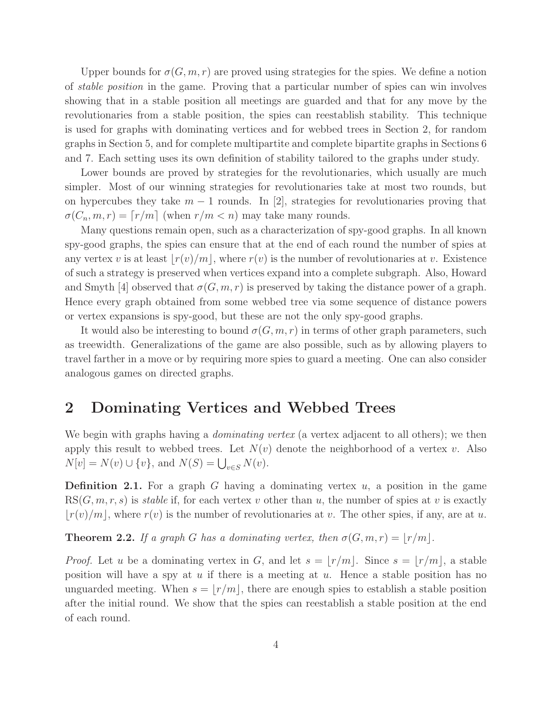Upper bounds for  $\sigma(G, m, r)$  are proved using strategies for the spies. We define a notion of *stable position* in the game. Proving that a particular number of spies can win involves showing that in a stable position all meetings are guarded and that for any move by the revolutionaries from a stable position, the spies can reestablish stability. This technique is used for graphs with dominating vertices and for webbed trees in Section 2, for random graphs in Section 5, and for complete multipartite and complete bipartite graphs in Sections 6 and 7. Each setting uses its own definition of stability tailored to the graphs under study.

Lower bounds are proved by strategies for the revolutionaries, which usually are much simpler. Most of our winning strategies for revolutionaries take at most two rounds, but on hypercubes they take  $m-1$  rounds. In [2], strategies for revolutionaries proving that  $\sigma(C_n, m, r) = \lceil r/m \rceil$  (when  $r/m < n$ ) may take many rounds.

Many questions remain open, such as a characterization of spy-good graphs. In all known spy-good graphs, the spies can ensure that at the end of each round the number of spies at any vertex v is at least  $|r(v)/m|$ , where  $r(v)$  is the number of revolutionaries at v. Existence of such a strategy is preserved when vertices expand into a complete subgraph. Also, Howard and Smyth [4] observed that  $\sigma(G, m, r)$  is preserved by taking the distance power of a graph. Hence every graph obtained from some webbed tree via some sequence of distance powers or vertex expansions is spy-good, but these are not the only spy-good graphs.

It would also be interesting to bound  $\sigma(G,m,r)$  in terms of other graph parameters, such as treewidth. Generalizations of the game are also possible, such as by allowing players to travel farther in a move or by requiring more spies to guard a meeting. One can also consider analogous games on directed graphs.

### 2 Dominating Vertices and Webbed Trees

We begin with graphs having a *dominating vertex* (a vertex adjacent to all others); we then apply this result to webbed trees. Let  $N(v)$  denote the neighborhood of a vertex v. Also  $N[v] = N(v) \cup \{v\}, \text{ and } N(S) = \bigcup_{v \in S} N(v).$ 

**Definition 2.1.** For a graph G having a dominating vertex  $u$ , a position in the game  $RS(G, m, r, s)$  is *stable* if, for each vertex v other than u, the number of spies at v is exactly  $|r(v)/m|$ , where  $r(v)$  is the number of revolutionaries at v. The other spies, if any, are at u.

**Theorem 2.2.** *If a graph* G *has a dominating vertex, then*  $\sigma(G, m, r) = |r/m|$ *.* 

*Proof.* Let u be a dominating vertex in G, and let  $s = |r/m|$ . Since  $s = |r/m|$ , a stable position will have a spy at  $u$  if there is a meeting at  $u$ . Hence a stable position has no unguarded meeting. When  $s = |r/m|$ , there are enough spies to establish a stable position after the initial round. We show that the spies can reestablish a stable position at the end of each round.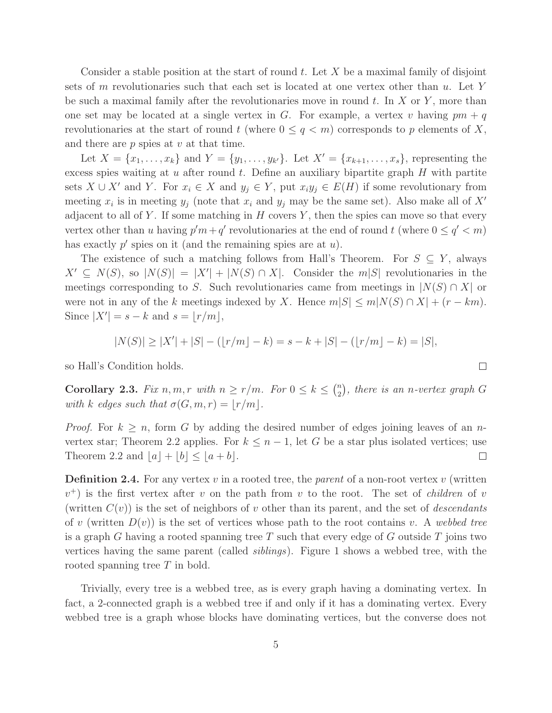Consider a stable position at the start of round t. Let  $X$  be a maximal family of disjoint sets of m revolutionaries such that each set is located at one vertex other than  $u$ . Let Y be such a maximal family after the revolutionaries move in round  $t$ . In  $X$  or  $Y$ , more than one set may be located at a single vertex in G. For example, a vertex v having  $pm + q$ revolutionaries at the start of round t (where  $0 \leq q < m$ ) corresponds to p elements of X, and there are  $p$  spies at  $v$  at that time.

Let  $X = \{x_1, ..., x_k\}$  and  $Y = \{y_1, ..., y_{k'}\}$ . Let  $X' = \{x_{k+1}, ..., x_s\}$ , representing the excess spies waiting at  $u$  after round  $t$ . Define an auxiliary bipartite graph  $H$  with partite sets  $X \cup X'$  and Y. For  $x_i \in X$  and  $y_j \in Y$ , put  $x_i y_j \in E(H)$  if some revolutionary from meeting  $x_i$  is in meeting  $y_j$  (note that  $x_i$  and  $y_j$  may be the same set). Also make all of  $X'$ adjacent to all of Y. If some matching in  $H$  covers Y, then the spies can move so that every vertex other than u having  $p'm + q'$  revolutionaries at the end of round t (where  $0 \le q' < m$ ) has exactly  $p'$  spies on it (and the remaining spies are at  $u$ ).

The existence of such a matching follows from Hall's Theorem. For  $S \subseteq Y$ , always  $X' \subseteq N(S)$ , so  $|N(S)| = |X'| + |N(S) \cap X|$ . Consider the  $m|S|$  revolutionaries in the meetings corresponding to S. Such revolutionaries came from meetings in  $|N(S) \cap X|$  or were not in any of the k meetings indexed by X. Hence  $m|S| \le m|N(S) \cap X| + (r - km)$ . Since  $|X'| = s - k$  and  $s = \lfloor r/m \rfloor$ ,

$$
|N(S)| \ge |X'| + |S| - (|r/m| - k) = s - k + |S| - (|r/m| - k) = |S|,
$$

so Hall's Condition holds.

Corollary 2.3. *Fix*  $n, m, r$  *with*  $n \ge r/m$ *. For*  $0 \le k \le \binom{n}{2}$  $\binom{n}{2}$ , there is an *n*-vertex graph G *with* k *edges such that*  $\sigma(G, m, r) = |r/m|$ *.* 

*Proof.* For  $k \geq n$ , form G by adding the desired number of edges joining leaves of an nvertex star; Theorem 2.2 applies. For  $k \leq n-1$ , let G be a star plus isolated vertices; use Theorem 2.2 and  $|a| + |b| \leq |a+b|$ .  $\Box$ 

**Definition 2.4.** For any vertex v in a rooted tree, the *parent* of a non-root vertex v (written  $(v<sup>+</sup>)$  is the first vertex after v on the path from v to the root. The set of *children* of v (written  $C(v)$ ) is the set of neighbors of v other than its parent, and the set of *descendants* of v (written  $D(v)$ ) is the set of vertices whose path to the root contains v. A webbed tree is a graph G having a rooted spanning tree T such that every edge of G outside T joins two vertices having the same parent (called *siblings*). Figure 1 shows a webbed tree, with the rooted spanning tree T in bold.

Trivially, every tree is a webbed tree, as is every graph having a dominating vertex. In fact, a 2-connected graph is a webbed tree if and only if it has a dominating vertex. Every webbed tree is a graph whose blocks have dominating vertices, but the converse does not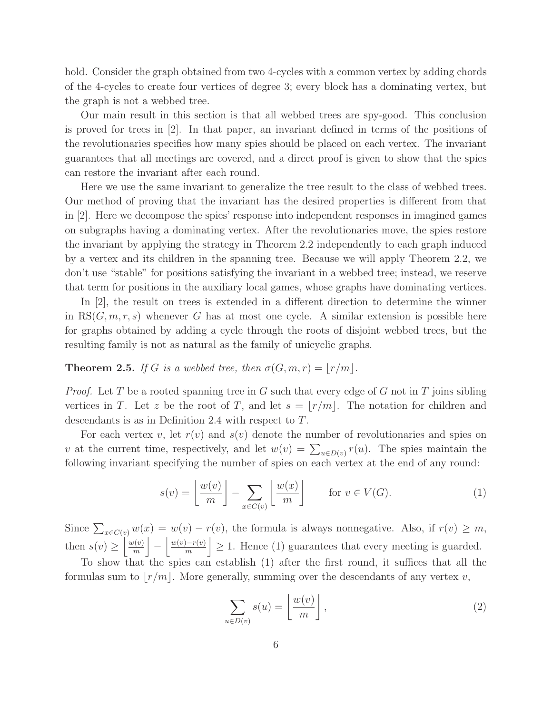hold. Consider the graph obtained from two 4-cycles with a common vertex by adding chords of the 4-cycles to create four vertices of degree 3; every block has a dominating vertex, but the graph is not a webbed tree.

Our main result in this section is that all webbed trees are spy-good. This conclusion is proved for trees in [2]. In that paper, an invariant defined in terms of the positions of the revolutionaries specifies how many spies should be placed on each vertex. The invariant guarantees that all meetings are covered, and a direct proof is given to show that the spies can restore the invariant after each round.

Here we use the same invariant to generalize the tree result to the class of webbed trees. Our method of proving that the invariant has the desired properties is different from that in [2]. Here we decompose the spies' response into independent responses in imagined games on subgraphs having a dominating vertex. After the revolutionaries move, the spies restore the invariant by applying the strategy in Theorem 2.2 independently to each graph induced by a vertex and its children in the spanning tree. Because we will apply Theorem 2.2, we don't use "stable" for positions satisfying the invariant in a webbed tree; instead, we reserve that term for positions in the auxiliary local games, whose graphs have dominating vertices.

In [2], the result on trees is extended in a different direction to determine the winner in  $RS(G, m, r, s)$  whenever G has at most one cycle. A similar extension is possible here for graphs obtained by adding a cycle through the roots of disjoint webbed trees, but the resulting family is not as natural as the family of unicyclic graphs.

#### **Theorem 2.5.** *If* G *is a webbed tree, then*  $\sigma(G, m, r) = |r/m|$ *.*

*Proof.* Let T be a rooted spanning tree in G such that every edge of G not in T joins sibling vertices in T. Let z be the root of T, and let  $s = |r/m|$ . The notation for children and descendants is as in Definition 2.4 with respect to T.

For each vertex v, let  $r(v)$  and  $s(v)$  denote the number of revolutionaries and spies on v at the current time, respectively, and let  $w(v) = \sum_{u \in D(v)} r(u)$ . The spies maintain the following invariant specifying the number of spies on each vertex at the end of any round:

$$
s(v) = \left\lfloor \frac{w(v)}{m} \right\rfloor - \sum_{x \in C(v)} \left\lfloor \frac{w(x)}{m} \right\rfloor \quad \text{for } v \in V(G). \tag{1}
$$

Since  $\sum_{x \in C(v)} w(x) = w(v) - r(v)$ , the formula is always nonnegative. Also, if  $r(v) \geq m$ , then  $s(v) \geq \left\lfloor \frac{w(v)}{m} \right\rfloor$  $\frac{v(v)}{m}$ −  $\left|\frac{w(v)-r(v)}{m}\right| \geq 1$ . Hence (1) guarantees that every meeting is guarded.

To show that the spies can establish (1) after the first round, it suffices that all the formulas sum to  $|r/m|$ . More generally, summing over the descendants of any vertex v,

$$
\sum_{u \in D(v)} s(u) = \left\lfloor \frac{w(v)}{m} \right\rfloor, \tag{2}
$$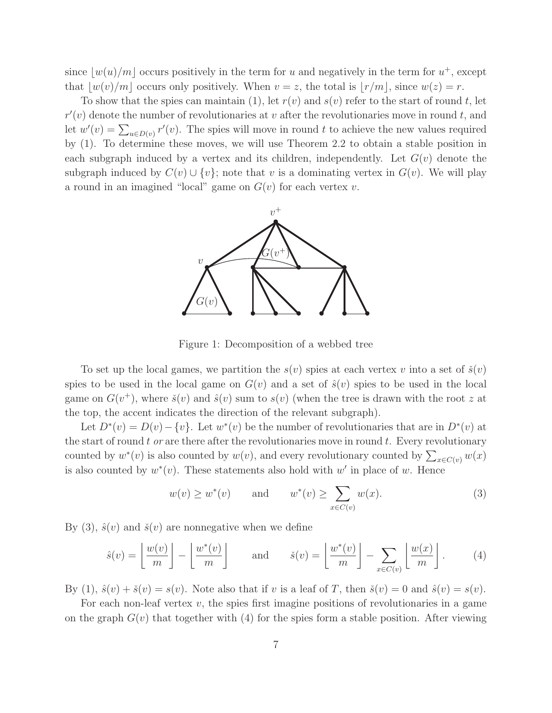since  $\lfloor w(u)/m \rfloor$  occurs positively in the term for u and negatively in the term for  $u^+$ , except that  $|w(v)/m|$  occurs only positively. When  $v = z$ , the total is  $|r/m|$ , since  $w(z) = r$ .

To show that the spies can maintain (1), let  $r(v)$  and  $s(v)$  refer to the start of round t, let  $r'(v)$  denote the number of revolutionaries at v after the revolutionaries move in round t, and let  $w'(v) = \sum_{u \in D(v)} r'(v)$ . The spies will move in round t to achieve the new values required by (1). To determine these moves, we will use Theorem 2.2 to obtain a stable position in each subgraph induced by a vertex and its children, independently. Let  $G(v)$  denote the subgraph induced by  $C(v) \cup \{v\}$ ; note that v is a dominating vertex in  $G(v)$ . We will play a round in an imagined "local" game on  $G(v)$  for each vertex v.



Figure 1: Decomposition of a webbed tree

To set up the local games, we partition the  $s(v)$  spies at each vertex v into a set of  $\check{s}(v)$ spies to be used in the local game on  $G(v)$  and a set of  $\hat{s}(v)$  spies to be used in the local game on  $G(v^+)$ , where  $\check{s}(v)$  and  $\hat{s}(v)$  sum to  $s(v)$  (when the tree is drawn with the root z at the top, the accent indicates the direction of the relevant subgraph).

Let  $D^*(v) = D(v) - \{v\}$ . Let  $w^*(v)$  be the number of revolutionaries that are in  $D^*(v)$  at the start of round t or are there after the revolutionaries move in round t. Every revolutionary counted by  $w^*(v)$  is also counted by  $w(v)$ , and every revolutionary counted by  $\sum_{x \in C(v)} w(x)$ is also counted by  $w^*(v)$ . These statements also hold with  $w'$  in place of w. Hence

$$
w(v) \ge w^*(v) \qquad \text{and} \qquad w^*(v) \ge \sum_{x \in C(v)} w(x). \tag{3}
$$

By (3),  $\hat{s}(v)$  and  $\check{s}(v)$  are nonnegative when we define

$$
\hat{s}(v) = \left\lfloor \frac{w(v)}{m} \right\rfloor - \left\lfloor \frac{w^*(v)}{m} \right\rfloor \quad \text{and} \quad \check{s}(v) = \left\lfloor \frac{w^*(v)}{m} \right\rfloor - \sum_{x \in C(v)} \left\lfloor \frac{w(x)}{m} \right\rfloor. \tag{4}
$$

By (1),  $\hat{s}(v) + \check{s}(v) = s(v)$ . Note also that if v is a leaf of T, then  $\check{s}(v) = 0$  and  $\hat{s}(v) = s(v)$ .

For each non-leaf vertex  $v$ , the spies first imagine positions of revolutionaries in a game on the graph  $G(v)$  that together with (4) for the spies form a stable position. After viewing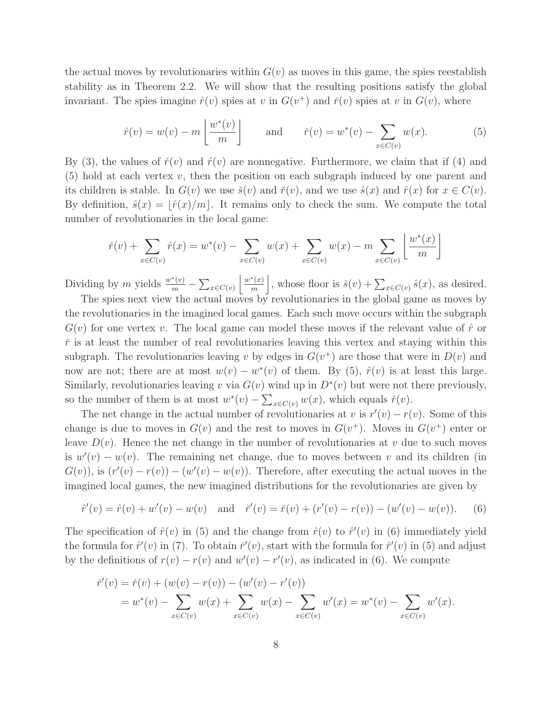the actual moves by revolutionaries within  $G(v)$  as moves in this game, the spies reestablish stability as in Theorem 2.2. We will show that the resulting positions satisfy the global invariant. The spies imagine  $\hat{r}(v)$  spies at v in  $G(v^+)$  and  $\check{r}(v)$  spies at v in  $G(v)$ , where

$$
\hat{r}(v) = w(v) - m\left\lfloor \frac{w^*(v)}{m} \right\rfloor \quad \text{and} \quad \check{r}(v) = w^*(v) - \sum_{x \in C(v)} w(x). \tag{5}
$$

By (3), the values of  $\tilde{r}(v)$  and  $\hat{r}(v)$  are nonnegative. Furthermore, we claim that if (4) and  $(5)$  hold at each vertex v, then the position on each subgraph induced by one parent and its children is stable. In  $G(v)$  we use  $\check{s}(v)$  and  $\check{r}(v)$ , and we use  $\hat{s}(x)$  and  $\hat{r}(x)$  for  $x \in C(v)$ . By definition,  $\hat{s}(x) = |\hat{r}(x)/m|$ . It remains only to check the sum. We compute the total number of revolutionaries in the local game:

$$
\tilde{r}(v) + \sum_{x \in C(v)} \hat{r}(x) = w^*(v) - \sum_{x \in C(v)} w(x) + \sum_{x \in C(v)} w(x) - m \sum_{x \in C(v)} \left[ \frac{w^*(x)}{m} \right]
$$

Dividing by m yields  $\frac{w^*(v)}{m} - \sum_{x \in C(v)}$  $w^*(x)$  $\left[\frac{f(x)}{m}\right]$ , whose floor is  $\check{s}(v) + \sum_{x \in C(v)} \hat{s}(x)$ , as desired.

The spies next view the actual moves by revolutionaries in the global game as moves by the revolutionaries in the imagined local games. Each such move occurs within the subgraph  $G(v)$  for one vertex v. The local game can model these moves if the relevant value of  $\hat{r}$  or  $\check{r}$  is at least the number of real revolutionaries leaving this vertex and staying within this subgraph. The revolutionaries leaving v by edges in  $G(v<sup>+</sup>)$  are those that were in  $D(v)$  and now are not; there are at most  $w(v) - w^*(v)$  of them. By (5),  $\hat{r}(v)$  is at least this large. Similarly, revolutionaries leaving v via  $G(v)$  wind up in  $D^*(v)$  but were not there previously, so the number of them is at most  $w^*(v) - \sum_{x \in C(v)} w(x)$ , which equals  $\check{r}(v)$ .

The net change in the actual number of revolutionaries at v is  $r'(v) - r(v)$ . Some of this change is due to moves in  $G(v)$  and the rest to moves in  $G(v<sup>+</sup>)$ . Moves in  $G(v<sup>+</sup>)$  enter or leave  $D(v)$ . Hence the net change in the number of revolutionaries at v due to such moves is  $w'(v) - w(v)$ . The remaining net change, due to moves between v and its children (in  $G(v)$ , is  $(r'(v) - r(v)) - (w'(v) - w(v))$ . Therefore, after executing the actual moves in the imagined local games, the new imagined distributions for the revolutionaries are given by

$$
\hat{r}'(v) = \hat{r}(v) + w'(v) - w(v) \quad \text{and} \quad \check{r}'(v) = \check{r}(v) + (r'(v) - r(v)) - (w'(v) - w(v)). \tag{6}
$$

The specification of  $\hat{r}(v)$  in (5) and the change from  $\hat{r}(v)$  to  $\hat{r}'(v)$  in (6) immediately yield the formula for  $\hat{r}'(v)$  in (7). To obtain  $\check{r}'(v)$ , start with the formula for  $\check{r}'(v)$  in (5) and adjust by the definitions of  $r(v) - r(v)$  and  $w'(v) - r'(v)$ , as indicated in (6). We compute

$$
\check{r}'(v) = \check{r}(v) + (w(v) - r(v)) - (w'(v) - r'(v))
$$
  
=  $w^*(v) - \sum_{x \in C(v)} w(x) + \sum_{x \in C(v)} w(x) - \sum_{x \in C(v)} w'(x) = w^*(v) - \sum_{x \in C(v)} w'(x).$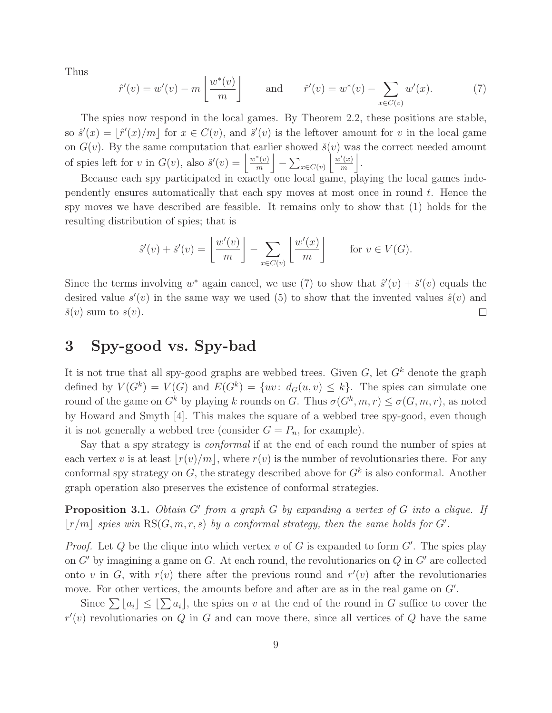Thus

$$
\hat{r}'(v) = w'(v) - m\left\lfloor \frac{w^*(v)}{m} \right\rfloor \quad \text{and} \quad \check{r}'(v) = w^*(v) - \sum_{x \in C(v)} w'(x). \tag{7}
$$

The spies now respond in the local games. By Theorem 2.2, these positions are stable, so  $\hat{s}'(x) = \lfloor \hat{r}'(x)/m \rfloor$  for  $x \in C(v)$ , and  $\check{s}'(v)$  is the leftover amount for v in the local game on  $G(v)$ . By the same computation that earlier showed  $\check{s}(v)$  was the correct needed amount of spies left for v in  $G(v)$ , also  $\check{s}'(v) = \frac{w^*(v)}{m}$  $\frac{\binom{m}{k}}{m}$  $-\sum_{x\in C(v)}$  $\frac{w'(x)}{w(x)}$  $\frac{n'(x)}{m}$ .

Because each spy participated in exactly one local game, playing the local games independently ensures automatically that each spy moves at most once in round  $t$ . Hence the spy moves we have described are feasible. It remains only to show that (1) holds for the resulting distribution of spies; that is

$$
\hat{s}'(v) + \check{s}'(v) = \left\lfloor \frac{w'(v)}{m} \right\rfloor - \sum_{x \in C(v)} \left\lfloor \frac{w'(x)}{m} \right\rfloor \quad \text{for } v \in V(G).
$$

Since the terms involving  $w^*$  again cancel, we use (7) to show that  $\hat{s}'(v) + \check{s}'(v)$  equals the desired value  $s'(v)$  in the same way we used (5) to show that the invented values  $\hat{s}(v)$  and  $\check{s}(v)$  sum to  $s(v)$ .  $\Box$ 

### 3 Spy-good vs. Spy-bad

It is not true that all spy-good graphs are webbed trees. Given  $G$ , let  $G^k$  denote the graph defined by  $V(G^k) = V(G)$  and  $E(G^k) = \{uv : d_G(u, v) \leq k\}$ . The spies can simulate one round of the game on  $G^k$  by playing k rounds on G. Thus  $\sigma(G^k, m, r) \leq \sigma(G, m, r)$ , as noted by Howard and Smyth [4]. This makes the square of a webbed tree spy-good, even though it is not generally a webbed tree (consider  $G = P_n$ , for example).

Say that a spy strategy is *conformal* if at the end of each round the number of spies at each vertex v is at least  $|r(v)/m|$ , where  $r(v)$  is the number of revolutionaries there. For any conformal spy strategy on  $G$ , the strategy described above for  $G<sup>k</sup>$  is also conformal. Another graph operation also preserves the existence of conformal strategies.

Proposition 3.1. *Obtain* G′ *from a graph* G *by expanding a vertex of* G *into a clique. If*  $\lfloor r/m \rfloor$  *spies win*  $\text{RS}(G, m, r, s)$  *by a conformal strategy, then the same holds for*  $G'$ *.* 

*Proof.* Let  $Q$  be the clique into which vertex  $v$  of  $G$  is expanded to form  $G'$ . The spies play on  $G'$  by imagining a game on  $G$ . At each round, the revolutionaries on  $Q$  in  $G'$  are collected onto v in G, with  $r(v)$  there after the previous round and  $r'(v)$  after the revolutionaries move. For other vertices, the amounts before and after are as in the real game on  $G'$ .

Since  $\sum a_i \leq \sum a_i$ , the spies on v at the end of the round in G suffice to cover the  $r'(v)$  revolutionaries on  $Q$  in  $G$  and can move there, since all vertices of  $Q$  have the same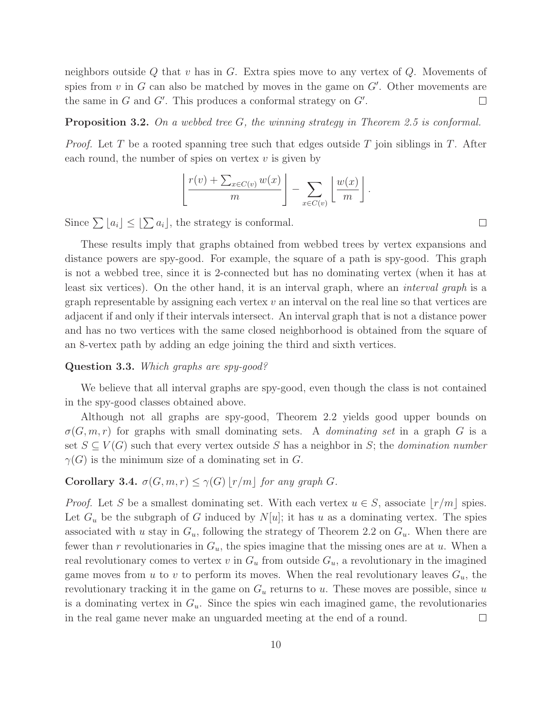neighbors outside  $Q$  that  $v$  has in  $G$ . Extra spies move to any vertex of  $Q$ . Movements of spies from  $v$  in  $G$  can also be matched by moves in the game on  $G'$ . Other movements are the same in  $G$  and  $G'$ . This produces a conformal strategy on  $G'$ .  $\Box$ 

#### Proposition 3.2. *On a webbed tree* G*, the winning strategy in Theorem 2.5 is conformal.*

*Proof.* Let T be a rooted spanning tree such that edges outside T join siblings in T. After each round, the number of spies on vertex  $v$  is given by

$$
\left\lfloor \frac{r(v) + \sum_{x \in C(v)} w(x)}{m} \right\rfloor - \sum_{x \in C(v)} \left\lfloor \frac{w(x)}{m} \right\rfloor.
$$

Since  $\sum |a_i| \leq \lfloor \sum a_i \rfloor$ , the strategy is conformal.

These results imply that graphs obtained from webbed trees by vertex expansions and distance powers are spy-good. For example, the square of a path is spy-good. This graph is not a webbed tree, since it is 2-connected but has no dominating vertex (when it has at least six vertices). On the other hand, it is an interval graph, where an *interval graph* is a graph representable by assigning each vertex  $v$  an interval on the real line so that vertices are adjacent if and only if their intervals intersect. An interval graph that is not a distance power and has no two vertices with the same closed neighborhood is obtained from the square of an 8-vertex path by adding an edge joining the third and sixth vertices.

#### Question 3.3. *Which graphs are spy-good?*

We believe that all interval graphs are spy-good, even though the class is not contained in the spy-good classes obtained above.

Although not all graphs are spy-good, Theorem 2.2 yields good upper bounds on  $\sigma(G, m, r)$  for graphs with small dominating sets. A *dominating set* in a graph G is a set  $S \subseteq V(G)$  such that every vertex outside S has a neighbor in S; the *domination number*  $\gamma(G)$  is the minimum size of a dominating set in G.

#### Corollary 3.4.  $\sigma(G, m, r) \leq \gamma(G) |r/m|$  *for any graph G*.

*Proof.* Let S be a smallest dominating set. With each vertex  $u \in S$ , associate  $|r/m|$  spies. Let  $G_u$  be the subgraph of G induced by  $N[u]$ ; it has u as a dominating vertex. The spies associated with u stay in  $G_u$ , following the strategy of Theorem 2.2 on  $G_u$ . When there are fewer than r revolutionaries in  $G_u$ , the spies imagine that the missing ones are at u. When a real revolutionary comes to vertex v in  $G_u$  from outside  $G_u$ , a revolutionary in the imagined game moves from u to v to perform its moves. When the real revolutionary leaves  $G_u$ , the revolutionary tracking it in the game on  $G_u$  returns to u. These moves are possible, since u is a dominating vertex in  $G_u$ . Since the spies win each imagined game, the revolutionaries in the real game never make an unguarded meeting at the end of a round.  $\Box$ 

 $\Box$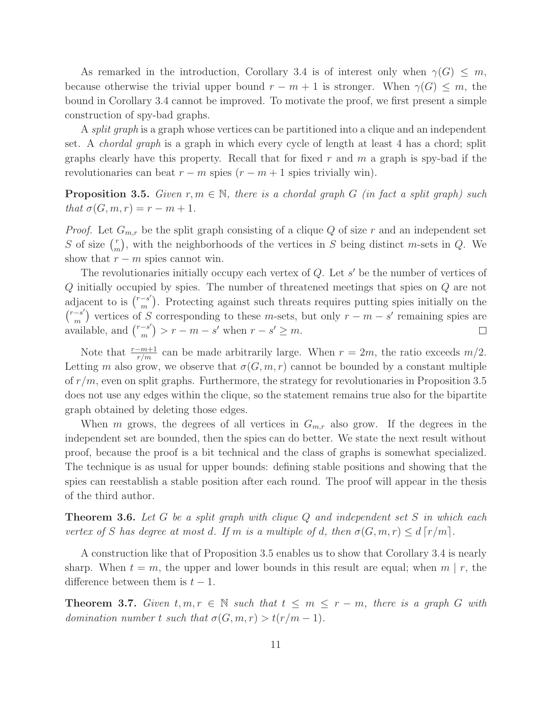As remarked in the introduction, Corollary 3.4 is of interest only when  $\gamma(G) \leq m$ , because otherwise the trivial upper bound  $r - m + 1$  is stronger. When  $\gamma(G) \leq m$ , the bound in Corollary 3.4 cannot be improved. To motivate the proof, we first present a simple construction of spy-bad graphs.

A *split graph* is a graph whose vertices can be partitioned into a clique and an independent set. A *chordal graph* is a graph in which every cycle of length at least 4 has a chord; split graphs clearly have this property. Recall that for fixed  $r$  and  $m$  a graph is spy-bad if the revolutionaries can beat  $r - m$  spies  $(r - m + 1)$  spies trivially win).

Proposition 3.5. *Given* r,m ∈ N*, there is a chordal graph* G *(in fact a split graph) such that*  $\sigma(G, m, r) = r - m + 1$ *.* 

*Proof.* Let  $G_{m,r}$  be the split graph consisting of a clique Q of size r and an independent set S of size  $\binom{r}{r}$  $\binom{r}{m}$ , with the neighborhoods of the vertices in S being distinct m-sets in Q. We show that  $r - m$  spies cannot win.

The revolutionaries initially occupy each vertex of  $Q$ . Let  $s'$  be the number of vertices of Q initially occupied by spies. The number of threatened meetings that spies on Q are not adjacent to is  $\binom{r-s'}{m}$ suce to is  $\binom{r-s'}{m}$ . Protecting against such threats requires putting spies initially on the  $\binom{r-s'}{m}$  vertices of S corresponding to these m-sets, but only  $r-m-s'$  remaining spies are  $\chi^{m}$  available, and  $\binom{r-s'}{m}$  $\binom{-s'}{m}$  >  $r - m - s'$  when  $r - s' \ge m$ .  $\Box$ 

Note that  $\frac{r-m+1}{r/m}$  can be made arbitrarily large. When  $r = 2m$ , the ratio exceeds  $m/2$ . Letting m also grow, we observe that  $\sigma(G,m,r)$  cannot be bounded by a constant multiple of  $r/m$ , even on split graphs. Furthermore, the strategy for revolutionaries in Proposition 3.5 does not use any edges within the clique, so the statement remains true also for the bipartite graph obtained by deleting those edges.

When m grows, the degrees of all vertices in  $G_{m,r}$  also grow. If the degrees in the independent set are bounded, then the spies can do better. We state the next result without proof, because the proof is a bit technical and the class of graphs is somewhat specialized. The technique is as usual for upper bounds: defining stable positions and showing that the spies can reestablish a stable position after each round. The proof will appear in the thesis of the third author.

Theorem 3.6. *Let* G *be a split graph with clique* Q *and independent set* S *in which each vertex of* S has degree at most d. If m is a multiple of d, then  $\sigma(G, m, r) \leq d \lceil r/m \rceil$ .

A construction like that of Proposition 3.5 enables us to show that Corollary 3.4 is nearly sharp. When  $t = m$ , the upper and lower bounds in this result are equal; when  $m \mid r$ , the difference between them is  $t-1$ .

**Theorem 3.7.** *Given*  $t, m, r \in \mathbb{N}$  *such that*  $t \leq m \leq r - m$ *, there is a graph* G *with domination number* t *such that*  $\sigma(G, m, r) > t(r/m - 1)$ *.*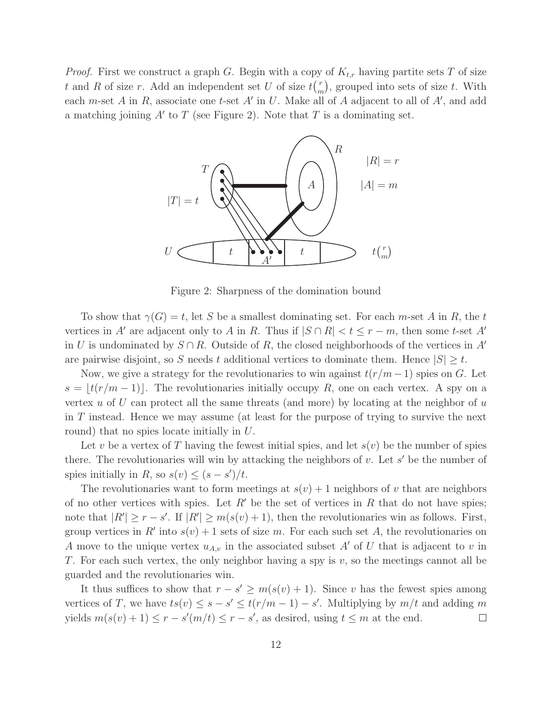*Proof.* First we construct a graph G. Begin with a copy of  $K_{t,r}$  having partite sets T of size t and R of size r. Add an independent set U of size  $t\binom{r}{r}$  $\binom{r}{m}$ , grouped into sets of size t. With each *m*-set A in R, associate one t-set A' in U. Make all of A adjacent to all of A', and add a matching joining  $A'$  to  $T$  (see Figure 2). Note that  $T$  is a dominating set.



Figure 2: Sharpness of the domination bound

To show that  $\gamma(G) = t$ , let S be a smallest dominating set. For each m-set A in R, the t vertices in A' are adjacent only to A in R. Thus if  $|S \cap R| < t \leq r - m$ , then some t-set A' in U is undominated by  $S \cap R$ . Outside of R, the closed neighborhoods of the vertices in A' are pairwise disjoint, so S needs t additional vertices to dominate them. Hence  $|S| \geq t$ .

Now, we give a strategy for the revolutionaries to win against  $t(r/m-1)$  spies on G. Let  $s = |t(r/m - 1)|$ . The revolutionaries initially occupy R, one on each vertex. A spy on a vertex u of U can protect all the same threats (and more) by locating at the neighbor of  $u$ in T instead. Hence we may assume (at least for the purpose of trying to survive the next round) that no spies locate initially in U.

Let v be a vertex of T having the fewest initial spies, and let  $s(v)$  be the number of spies there. The revolutionaries will win by attacking the neighbors of  $v$ . Let  $s'$  be the number of spies initially in  $R$ , so  $s(v) \leq (s - s')/t$ .

The revolutionaries want to form meetings at  $s(v) + 1$  neighbors of v that are neighbors of no other vertices with spies. Let  $R'$  be the set of vertices in  $R$  that do not have spies; note that  $|R'| \ge r - s'$ . If  $|R'| \ge m(s(v) + 1)$ , then the revolutionaries win as follows. First, group vertices in  $R'$  into  $s(v) + 1$  sets of size m. For each such set A, the revolutionaries on A move to the unique vertex  $u_{A,v}$  in the associated subset A' of U that is adjacent to v in T. For each such vertex, the only neighbor having a spy is  $v$ , so the meetings cannot all be guarded and the revolutionaries win.

It thus suffices to show that  $r - s' \geq m(s(v) + 1)$ . Since v has the fewest spies among vertices of T, we have  $ts(v) \leq s - s' \leq t(r/m - 1) - s'$ . Multiplying by  $m/t$  and adding m yields  $m(s(v) + 1) \le r - s'(m/t) \le r - s'$ , as desired, using  $t \le m$  at the end.  $\Box$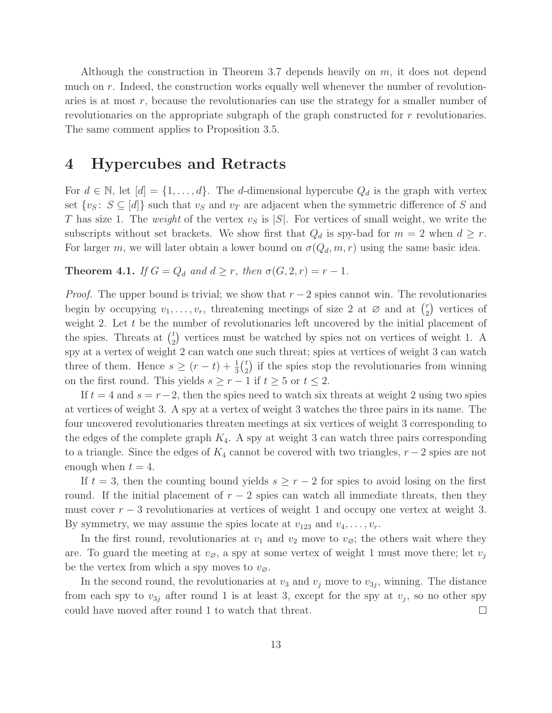Although the construction in Theorem 3.7 depends heavily on  $m$ , it does not depend much on r. Indeed, the construction works equally well whenever the number of revolutionaries is at most  $r$ , because the revolutionaries can use the strategy for a smaller number of revolutionaries on the appropriate subgraph of the graph constructed for r revolutionaries. The same comment applies to Proposition 3.5.

### 4 Hypercubes and Retracts

For  $d \in \mathbb{N}$ , let  $[d] = \{1, \ldots, d\}$ . The *d*-dimensional hypercube  $Q_d$  is the graph with vertex set  $\{v_S: S \subseteq [d]\}\$  such that  $v_S$  and  $v_T$  are adjacent when the symmetric difference of S and T has size 1. The *weight* of the vertex  $v<sub>S</sub>$  is  $|S|$ . For vertices of small weight, we write the subscripts without set brackets. We show first that  $Q_d$  is spy-bad for  $m = 2$  when  $d \geq r$ . For larger m, we will later obtain a lower bound on  $\sigma(Q_d, m, r)$  using the same basic idea.

**Theorem 4.1.** *If*  $G = Q_d$  *and*  $d \geq r$ *, then*  $\sigma(G, 2, r) = r - 1$ *.* 

*Proof.* The upper bound is trivial; we show that  $r - 2$  spies cannot win. The revolutionaries begin by occupying  $v_1, \ldots, v_r$ , threatening meetings of size 2 at  $\varnothing$  and at  $\binom{r}{2}$  $\binom{r}{2}$  vertices of weight 2. Let t be the number of revolutionaries left uncovered by the initial placement of the spies. Threats at  $\binom{t}{2}$  $_{2}^{t}$ ) vertices must be watched by spies not on vertices of weight 1. A spy at a vertex of weight 2 can watch one such threat; spies at vertices of weight 3 can watch three of them. Hence  $s \ge (r-t) + \frac{1}{3} {t \choose 2}$  $\binom{t}{2}$  if the spies stop the revolutionaries from winning on the first round. This yields  $s \geq r - 1$  if  $t \geq 5$  or  $t \leq 2$ .

If  $t = 4$  and  $s = r-2$ , then the spies need to watch six threats at weight 2 using two spies at vertices of weight 3. A spy at a vertex of weight 3 watches the three pairs in its name. The four uncovered revolutionaries threaten meetings at six vertices of weight 3 corresponding to the edges of the complete graph  $K_4$ . A spy at weight 3 can watch three pairs corresponding to a triangle. Since the edges of  $K_4$  cannot be covered with two triangles,  $r-2$  spies are not enough when  $t = 4$ .

If  $t = 3$ , then the counting bound yields  $s \geq r - 2$  for spies to avoid losing on the first round. If the initial placement of  $r - 2$  spies can watch all immediate threats, then they must cover  $r - 3$  revolutionaries at vertices of weight 1 and occupy one vertex at weight 3. By symmetry, we may assume the spies locate at  $v_{123}$  and  $v_4, \ldots, v_r$ .

In the first round, revolutionaries at  $v_1$  and  $v_2$  move to  $v_{\varnothing}$ ; the others wait where they are. To guard the meeting at  $v_{\varnothing}$ , a spy at some vertex of weight 1 must move there; let  $v_j$ be the vertex from which a spy moves to  $v_{\varnothing}$ .

In the second round, the revolutionaries at  $v_3$  and  $v_j$  move to  $v_{3j}$ , winning. The distance from each spy to  $v_{3j}$  after round 1 is at least 3, except for the spy at  $v_j$ , so no other spy could have moved after round 1 to watch that threat.  $\Box$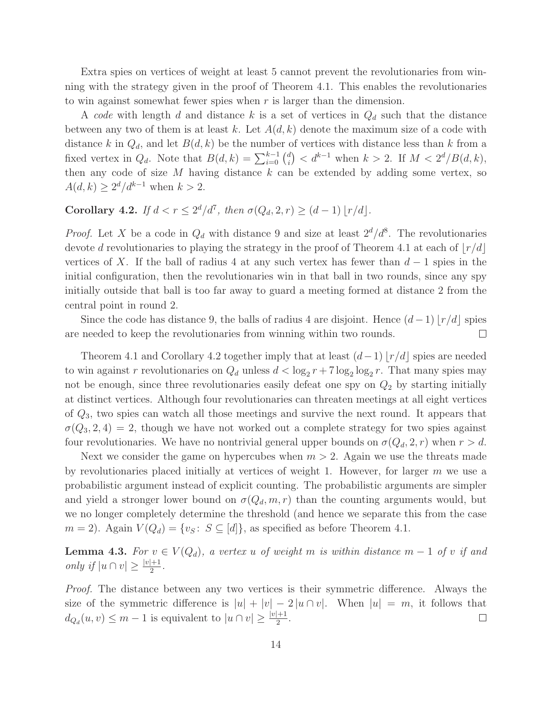Extra spies on vertices of weight at least 5 cannot prevent the revolutionaries from winning with the strategy given in the proof of Theorem 4.1. This enables the revolutionaries to win against somewhat fewer spies when r is larger than the dimension.

A *code* with length d and distance k is a set of vertices in  $Q_d$  such that the distance between any two of them is at least k. Let  $A(d, k)$  denote the maximum size of a code with distance k in  $Q_d$ , and let  $B(d, k)$  be the number of vertices with distance less than k from a fixed vertex in  $Q_d$ . Note that  $B(d, k) = \sum_{i=0}^{k-1} {d \choose i}$  $\binom{d}{i} < d^{k-1}$  when  $k > 2$ . If  $M < 2^d/B(d, k)$ , then any code of size  $M$  having distance  $k$  can be extended by adding some vertex, so  $A(d, k) \geq 2^d/d^{k-1}$  when  $k > 2$ .

# **Corollary 4.2.** *If*  $d < r \leq 2^d/d^7$ , *then*  $\sigma(Q_d, 2, r) \geq (d - 1) \lfloor r/d \rfloor$ *.*

*Proof.* Let X be a code in  $Q_d$  with distance 9 and size at least  $2^d/d^8$ . The revolutionaries devote d revolutionaries to playing the strategy in the proof of Theorem 4.1 at each of  $|r/d|$ vertices of X. If the ball of radius 4 at any such vertex has fewer than  $d-1$  spies in the initial configuration, then the revolutionaries win in that ball in two rounds, since any spy initially outside that ball is too far away to guard a meeting formed at distance 2 from the central point in round 2.

Since the code has distance 9, the balls of radius 4 are disjoint. Hence  $(d-1) |r/d|$  spies are needed to keep the revolutionaries from winning within two rounds.  $\Box$ 

Theorem 4.1 and Corollary 4.2 together imply that at least  $(d-1) |r/d|$  spies are needed to win against r revolutionaries on  $Q_d$  unless  $d < \log_2 r + 7 \log_2 \log_2 r$ . That many spies may not be enough, since three revolutionaries easily defeat one spy on  $Q_2$  by starting initially at distinct vertices. Although four revolutionaries can threaten meetings at all eight vertices of  $Q_3$ , two spies can watch all those meetings and survive the next round. It appears that  $\sigma(Q_3, 2, 4) = 2$ , though we have not worked out a complete strategy for two spies against four revolutionaries. We have no nontrivial general upper bounds on  $\sigma(Q_d, 2, r)$  when  $r > d$ .

Next we consider the game on hypercubes when  $m > 2$ . Again we use the threats made by revolutionaries placed initially at vertices of weight 1. However, for larger  $m$  we use a probabilistic argument instead of explicit counting. The probabilistic arguments are simpler and yield a stronger lower bound on  $\sigma(Q_d,m,r)$  than the counting arguments would, but we no longer completely determine the threshold (and hence we separate this from the case  $m = 2$ ). Again  $V(Q_d) = \{v_s: S \subseteq [d]\}$ , as specified as before Theorem 4.1.

**Lemma 4.3.** *For*  $v \in V(Q_d)$ *, a vertex u of weight m is within distance m* − 1 *of v if and only if*  $|u \cap v| \geq \frac{|v|+1}{2}$ .

*Proof.* The distance between any two vertices is their symmetric difference. Always the size of the symmetric difference is  $|u| + |v| - 2 |u \cap v|$ . When  $|u| = m$ , it follows that  $d_{Q_d}(u,v) \leq m-1$  is equivalent to  $|u \cap v| \geq \frac{|v|+1}{2}$ .  $\Box$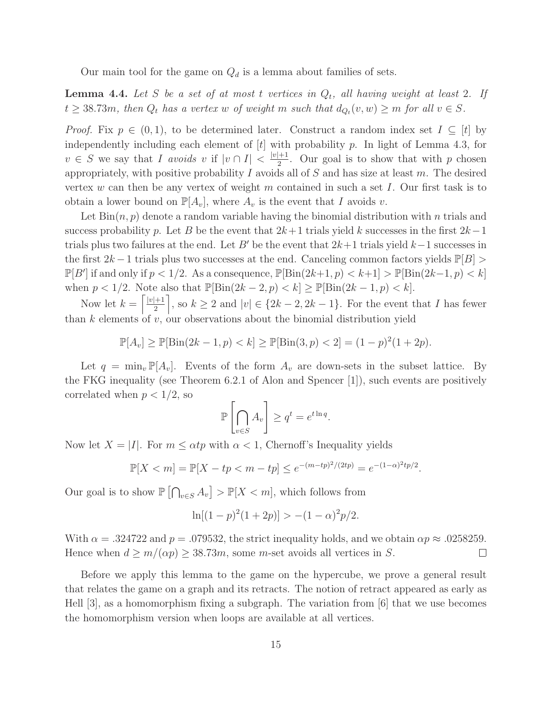Our main tool for the game on  $Q_d$  is a lemma about families of sets.

**Lemma 4.4.** Let S be a set of at most t vertices in  $Q_t$ , all having weight at least 2. If  $t \geq 38.73m$ , then  $Q_t$  has a vertex w of weight m such that  $d_{Q_t}(v, w) \geq m$  for all  $v \in S$ .

*Proof.* Fix  $p \in (0, 1)$ , to be determined later. Construct a random index set  $I \subseteq [t]$  by independently including each element of  $[t]$  with probability p. In light of Lemma 4.3, for  $v \in S$  we say that I avoids v if  $|v \cap I| < \frac{|v|+1}{2}$ . Our goal is to show that with p chosen appropriately, with positive probability  $I$  avoids all of  $S$  and has size at least  $m$ . The desired vertex w can then be any vertex of weight m contained in such a set I. Our first task is to obtain a lower bound on  $\mathbb{P}[A_v]$ , where  $A_v$  is the event that I avoids v.

Let  $\text{Bin}(n, p)$  denote a random variable having the binomial distribution with n trials and success probability p. Let B be the event that  $2k+1$  trials yield k successes in the first  $2k-1$ trials plus two failures at the end. Let B' be the event that  $2k+1$  trials yield  $k-1$  successes in the first  $2k-1$  trials plus two successes at the end. Canceling common factors yields  $\mathbb{P}[B] >$  $\mathbb{P}[B']$  if and only if  $p < 1/2$ . As a consequence,  $\mathbb{P}[\text{Bin}(2k+1, p) < k+1] > \mathbb{P}[\text{Bin}(2k-1, p) < k]$ when  $p < 1/2$ . Note also that  $\mathbb{P}[\text{Bin}(2k-2, p) < k] \geq \mathbb{P}[\text{Bin}(2k-1, p) < k]$ .

Now let  $k = \left\lceil \frac{|v|+1}{2} \right\rceil$ , so  $k \geq 2$  and  $|v| \in \{2k-2, 2k-1\}$ . For the event that I has fewer than  $k$  elements of  $v$ , our observations about the binomial distribution yield

$$
\mathbb{P}[A_v] \ge \mathbb{P}[\text{Bin}(2k - 1, p) < k] \ge \mathbb{P}[\text{Bin}(3, p) < 2] = (1 - p)^2 (1 + 2p).
$$

Let  $q = \min_{v} \mathbb{P}[A_v]$ . Events of the form  $A_v$  are down-sets in the subset lattice. By the FKG inequality (see Theorem 6.2.1 of Alon and Spencer [1]), such events are positively correlated when  $p < 1/2$ , so

$$
\mathbb{P}\left[\bigcap_{v\in S} A_v\right] \ge q^t = e^{t\ln q}.
$$

Now let  $X = |I|$ . For  $m \leq \alpha t p$  with  $\alpha < 1$ , Chernoff's Inequality yields

$$
\mathbb{P}[X < m] = \mathbb{P}[X - tp < m - tp] \le e^{-(m - tp)^2/(2tp)} = e^{-(1 - \alpha)^2tp/2}.
$$

Our goal is to show  $\mathbb{P}\left[\bigcap_{v\in S} A_v\right] > \mathbb{P}[X < m]$ , which follows from

$$
\ln[(1-p)^2(1+2p)] > -(1-\alpha)^2p/2.
$$

With  $\alpha = 0.324722$  and  $p = 0.079532$ , the strict inequality holds, and we obtain  $\alpha p \approx 0.0258259$ . Hence when  $d \geq m/(\alpha p) \geq 38.73m$ , some m-set avoids all vertices in S.  $\Box$ 

Before we apply this lemma to the game on the hypercube, we prove a general result that relates the game on a graph and its retracts. The notion of retract appeared as early as Hell [3], as a homomorphism fixing a subgraph. The variation from [6] that we use becomes the homomorphism version when loops are available at all vertices.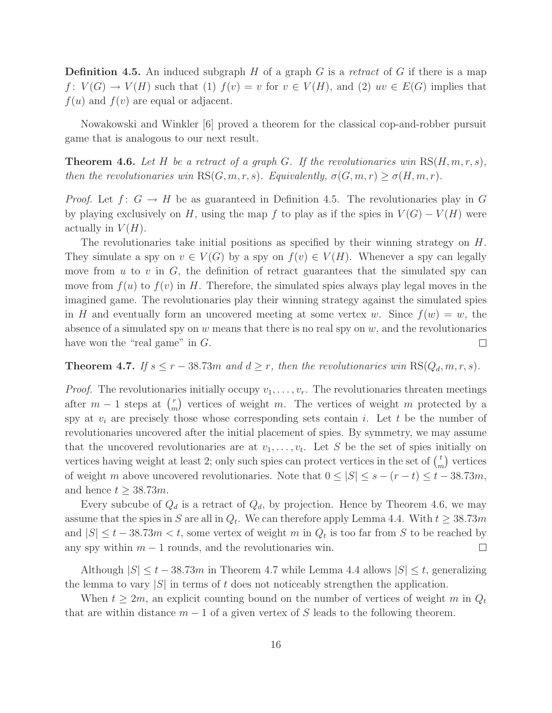Definition 4.5. An induced subgraph H of a graph G is a *retract* of G if there is a map  $f: V(G) \to V(H)$  such that (1)  $f(v) = v$  for  $v \in V(H)$ , and (2)  $uv \in E(G)$  implies that  $f(u)$  and  $f(v)$  are equal or adjacent.

Nowakowski and Winkler [6] proved a theorem for the classical cop-and-robber pursuit game that is analogous to our next result.

**Theorem 4.6.** Let H be a retract of a graph G. If the revolutionaries win  $RS(H, m, r, s)$ , *then the revolutionaries win*  $RS(G, m, r, s)$ *. Equivalently,*  $\sigma(G, m, r) \geq \sigma(H, m, r)$ *.* 

*Proof.* Let  $f: G \to H$  be as guaranteed in Definition 4.5. The revolutionaries play in G by playing exclusively on H, using the map f to play as if the spies in  $V(G) - V(H)$  were actually in  $V(H)$ .

The revolutionaries take initial positions as specified by their winning strategy on  $H$ . They simulate a spy on  $v \in V(G)$  by a spy on  $f(v) \in V(H)$ . Whenever a spy can legally move from  $u$  to  $v$  in  $G$ , the definition of retract guarantees that the simulated spy can move from  $f(u)$  to  $f(v)$  in H. Therefore, the simulated spies always play legal moves in the imagined game. The revolutionaries play their winning strategy against the simulated spies in H and eventually form an uncovered meeting at some vertex w. Since  $f(w) = w$ , the absence of a simulated spy on  $w$  means that there is no real spy on  $w$ , and the revolutionaries have won the "real game" in  $G$ .  $\Box$ 

**Theorem 4.7.** *If*  $s \leq r - 38.73m$  *and*  $d \geq r$ *, then the revolutionaries win* RS( $Q_d, m, r, s$ )*.* 

*Proof.* The revolutionaries initially occupy  $v_1, \ldots, v_r$ . The revolutionaries threaten meetings after  $m-1$  steps at  $\binom{r}{m}$  $\binom{r}{m}$  vertices of weight m. The vertices of weight m protected by a spy at  $v_i$  are precisely those whose corresponding sets contain i. Let t be the number of revolutionaries uncovered after the initial placement of spies. By symmetry, we may assume that the uncovered revolutionaries are at  $v_1, \ldots, v_t$ . Let S be the set of spies initially on vertices having weight at least 2; only such spies can protect vertices in the set of  $\binom{t}{n}$  $\binom{t}{m}$  vertices of weight m above uncovered revolutionaries. Note that  $0 \leq |S| \leq s - (r - t) \leq t - 38.73m$ , and hence  $t \geq 38.73m$ .

Every subcube of  $Q_d$  is a retract of  $Q_d$ , by projection. Hence by Theorem 4.6, we may assume that the spies in S are all in  $Q_t$ . We can therefore apply Lemma 4.4. With  $t \geq 38.73m$ and  $|S| \le t - 38.73m < t$ , some vertex of weight m in  $Q_t$  is too far from S to be reached by any spy within  $m-1$  rounds, and the revolutionaries win.  $\Box$ 

Although  $|S| \leq t - 38.73m$  in Theorem 4.7 while Lemma 4.4 allows  $|S| \leq t$ , generalizing the lemma to vary  $|S|$  in terms of t does not noticeably strengthen the application.

When  $t \geq 2m$ , an explicit counting bound on the number of vertices of weight m in  $Q_t$ that are within distance  $m-1$  of a given vertex of S leads to the following theorem.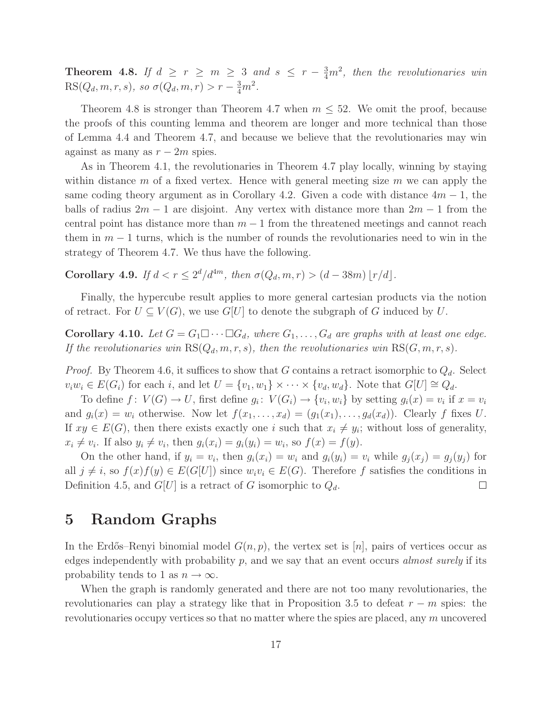**Theorem 4.8.** If  $d \geq r \geq m \geq 3$  and  $s \leq r - \frac{3}{4}m^2$ , then the revolutionaries win  $RS(Q_d, m, r, s)$ *, so*  $\sigma(Q_d, m, r) > r - \frac{3}{4}m^2$ *.* 

Theorem 4.8 is stronger than Theorem 4.7 when  $m \leq 52$ . We omit the proof, because the proofs of this counting lemma and theorem are longer and more technical than those of Lemma 4.4 and Theorem 4.7, and because we believe that the revolutionaries may win against as many as  $r - 2m$  spies.

As in Theorem 4.1, the revolutionaries in Theorem 4.7 play locally, winning by staying within distance m of a fixed vertex. Hence with general meeting size  $m$  we can apply the same coding theory argument as in Corollary 4.2. Given a code with distance  $4m - 1$ , the balls of radius  $2m - 1$  are disjoint. Any vertex with distance more than  $2m - 1$  from the central point has distance more than  $m-1$  from the threatened meetings and cannot reach them in  $m-1$  turns, which is the number of rounds the revolutionaries need to win in the strategy of Theorem 4.7. We thus have the following.

Corollary 4.9. *If*  $d < r \leq 2^d/d^{4m}$ , then  $\sigma(Q_d, m, r) > (d - 38m) \lfloor r/d \rfloor$ .

Finally, the hypercube result applies to more general cartesian products via the notion of retract. For  $U \subseteq V(G)$ , we use  $G[U]$  to denote the subgraph of G induced by U.

**Corollary 4.10.** Let  $G = G_1 \square \cdots \square G_d$ , where  $G_1, \ldots, G_d$  are graphs with at least one edge. *If the revolutionaries win*  $RS(Q_d, m, r, s)$ *, then the revolutionaries win*  $RS(G, m, r, s)$ *.* 

*Proof.* By Theorem 4.6, it suffices to show that G contains a retract isomorphic to  $Q_d$ . Select  $v_iw_i \in E(G_i)$  for each i, and let  $U = \{v_1, w_1\} \times \cdots \times \{v_d, w_d\}$ . Note that  $G[U] \cong Q_d$ .

To define  $f: V(G) \to U$ , first define  $g_i: V(G_i) \to \{v_i, w_i\}$  by setting  $g_i(x) = v_i$  if  $x = v_i$ and  $g_i(x) = w_i$  otherwise. Now let  $f(x_1, \ldots, x_d) = (g_1(x_1), \ldots, g_d(x_d))$ . Clearly f fixes U. If  $xy \in E(G)$ , then there exists exactly one i such that  $x_i \neq y_i$ ; without loss of generality,  $x_i \neq v_i$ . If also  $y_i \neq v_i$ , then  $g_i(x_i) = g_i(y_i) = w_i$ , so  $f(x) = f(y)$ .

On the other hand, if  $y_i = v_i$ , then  $g_i(x_i) = w_i$  and  $g_i(y_i) = v_i$  while  $g_j(x_j) = g_j(y_j)$  for all  $j \neq i$ , so  $f(x)f(y) \in E(G[U])$  since  $w_i v_i \in E(G)$ . Therefore f satisfies the conditions in Definition 4.5, and  $G[U]$  is a retract of G isomorphic to  $Q_d$ .  $\Box$ 

### 5 Random Graphs

In the Erdős–Renyi binomial model  $G(n, p)$ , the vertex set is [n], pairs of vertices occur as edges independently with probability p, and we say that an event occurs *almost surely* if its probability tends to 1 as  $n \to \infty$ .

When the graph is randomly generated and there are not too many revolutionaries, the revolutionaries can play a strategy like that in Proposition 3.5 to defeat  $r - m$  spies: the revolutionaries occupy vertices so that no matter where the spies are placed, any  $m$  uncovered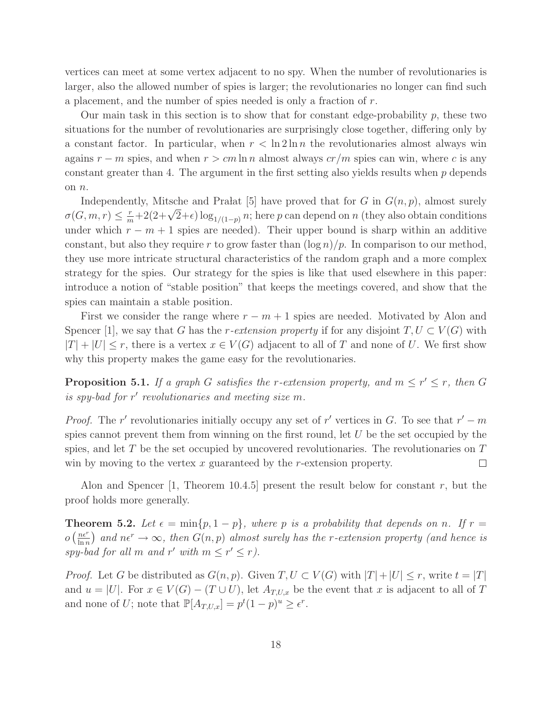vertices can meet at some vertex adjacent to no spy. When the number of revolutionaries is larger, also the allowed number of spies is larger; the revolutionaries no longer can find such a placement, and the number of spies needed is only a fraction of r.

Our main task in this section is to show that for constant edge-probability  $p$ , these two situations for the number of revolutionaries are surprisingly close together, differing only by a constant factor. In particular, when  $r < \ln 2 \ln n$  the revolutionaries almost always win agains  $r - m$  spies, and when  $r > cm \ln n$  almost always  $cr/m$  spies can win, where c is any constant greater than 4. The argument in the first setting also yields results when  $p$  depends on n.

Independently, Mitsche and Pra $at$  [5] have proved that for G in  $G(n, p)$ , almost surely  $\sigma(G,m,r) \leq \frac{r}{m} + 2(2+\sqrt{2}+\epsilon)\log_{1/(1-p)} n$ ; here p can depend on n (they also obtain conditions) under which  $r - m + 1$  spies are needed). Their upper bound is sharp within an additive constant, but also they require r to grow faster than  $(\log n)/p$ . In comparison to our method, they use more intricate structural characteristics of the random graph and a more complex strategy for the spies. Our strategy for the spies is like that used elsewhere in this paper: introduce a notion of "stable position" that keeps the meetings covered, and show that the spies can maintain a stable position.

First we consider the range where  $r - m + 1$  spies are needed. Motivated by Alon and Spencer [1], we say that G has the r-extension property if for any disjoint  $T, U \subset V(G)$  with  $|T| + |U| \leq r$ , there is a vertex  $x \in V(G)$  adjacent to all of T and none of U. We first show why this property makes the game easy for the revolutionaries.

**Proposition 5.1.** If a graph G satisfies the r-extension property, and  $m \leq r' \leq r$ , then G *is spy-bad for* r ′ *revolutionaries and meeting size* m*.*

*Proof.* The r' revolutionaries initially occupy any set of r' vertices in G. To see that  $r' - m$ spies cannot prevent them from winning on the first round, let U be the set occupied by the spies, and let  $T$  be the set occupied by uncovered revolutionaries. The revolutionaries on  $T$ win by moving to the vertex  $x$  guaranteed by the  $r$ -extension property.  $\Box$ 

Alon and Spencer  $[1,$  Theorem 10.4.5 present the result below for constant r, but the proof holds more generally.

**Theorem 5.2.** Let  $\epsilon = \min\{p, 1 - p\}$ , where p is a probability that depends on n. If  $r =$  $O\left(\frac{n\epsilon^r}{\ln n}\right)$  $\frac{n\epsilon^r}{\ln n}$  and  $n\epsilon^r \to \infty$ , then  $G(n, p)$  almost surely has the *r*-extension property (and hence is  $spy$ -bad for all m and r' with  $m \le r' \le r$ ).

*Proof.* Let G be distributed as  $G(n, p)$ . Given  $T, U \subset V(G)$  with  $|T| + |U| \leq r$ , write  $t = |T|$ and  $u = |U|$ . For  $x \in V(G) - (T \cup U)$ , let  $A_{T,U,x}$  be the event that x is adjacent to all of T and none of U; note that  $\mathbb{P}[A_{T,U,x}] = p^t (1-p)^u \geq \epsilon^r$ .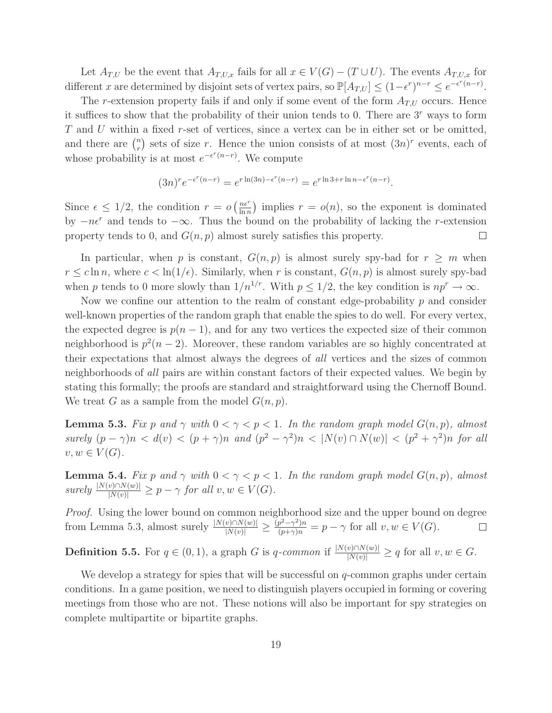Let  $A_{T,U}$  be the event that  $A_{T,U,x}$  fails for all  $x \in V(G) - (T \cup U)$ . The events  $A_{T,U,x}$  for different x are determined by disjoint sets of vertex pairs, so  $\mathbb{P}[A_{T,U}] \leq (1-\epsilon^r)^{n-r} \leq e^{-\epsilon^r(n-r)}$ .

The r-extension property fails if and only if some event of the form  $A_{T,U}$  occurs. Hence it suffices to show that the probability of their union tends to 0. There are 3<sup>r</sup> ways to form  $T$  and  $U$  within a fixed r-set of vertices, since a vertex can be in either set or be omitted, and there are  $\binom{n}{r}$  $\binom{n}{r}$  sets of size r. Hence the union consists of at most  $(3n)^r$  events, each of whose probability is at most  $e^{-\epsilon^r(n-r)}$ . We compute

$$
(3n)^r e^{-\epsilon^r (n-r)} = e^{r \ln(3n) - \epsilon^r (n-r)} = e^{r \ln 3 + r \ln n - \epsilon^r (n-r)}.
$$

Since  $\epsilon \leq 1/2$ , the condition  $r = o\left(\frac{ne^r}{\ln n}\right)$  $\frac{n\epsilon^n}{\ln n}$  implies  $r = o(n)$ , so the exponent is dominated by  $-n\epsilon^r$  and tends to  $-\infty$ . Thus the bound on the probability of lacking the r-extension property tends to 0, and  $G(n, p)$  almost surely satisfies this property.  $\Box$ 

In particular, when p is constant,  $G(n, p)$  is almost surely spy-bad for  $r \geq m$  when  $r \leq c \ln n$ , where  $c < \ln(1/\epsilon)$ . Similarly, when r is constant,  $G(n, p)$  is almost surely spy-bad when p tends to 0 more slowly than  $1/n^{1/r}$ . With  $p \le 1/2$ , the key condition is  $np^r \to \infty$ .

Now we confine our attention to the realm of constant edge-probability  $p$  and consider well-known properties of the random graph that enable the spies to do well. For every vertex, the expected degree is  $p(n-1)$ , and for any two vertices the expected size of their common neighborhood is  $p^2(n-2)$ . Moreover, these random variables are so highly concentrated at their expectations that almost always the degrees of *all* vertices and the sizes of common neighborhoods of *all* pairs are within constant factors of their expected values. We begin by stating this formally; the proofs are standard and straightforward using the Chernoff Bound. We treat G as a sample from the model  $G(n, p)$ .

**Lemma 5.3.** *Fix* p and  $\gamma$  with  $0 < \gamma < p < 1$ . In the random graph model  $G(n, p)$ , almost *surely*  $(p - \gamma)n < d(v) < (p + \gamma)n$  *and*  $(p^2 - \gamma^2)n < |N(v) \cap N(w)| < (p^2 + \gamma^2)n$  *for all*  $v, w \in V(G)$ .

**Lemma 5.4.** *Fix* p and  $\gamma$  with  $0 < \gamma < p < 1$ *. In the random graph model*  $G(n, p)$ *, almost*  $surely \frac{|N(v) \cap N(w)|}{|N(v)|} \geq p - \gamma$  *for all*  $v, w \in V(G)$ *.* 

*Proof.* Using the lower bound on common neighborhood size and the upper bound on degree from Lemma 5.3, almost surely  $\frac{|N(v) \cap N(w)|}{|N(v)|} \ge \frac{(p^2 - \gamma^2)n}{(p + \gamma)n} = p - \gamma$  for all  $v, w \in V(G)$ .  $\Box$ 

**Definition 5.5.** For  $q \in (0,1)$ , a graph G is  $q$ -common if  $\frac{|N(v) \cap N(w)|}{|N(v)|} \ge q$  for all  $v, w \in G$ .

We develop a strategy for spies that will be successful on  $q$ -common graphs under certain conditions. In a game position, we need to distinguish players occupied in forming or covering meetings from those who are not. These notions will also be important for spy strategies on complete multipartite or bipartite graphs.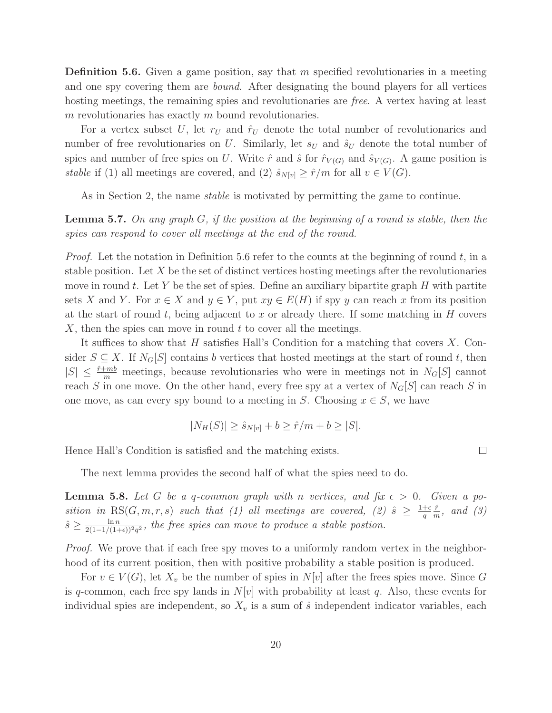**Definition 5.6.** Given a game position, say that  $m$  specified revolutionaries in a meeting and one spy covering them are *bound*. After designating the bound players for all vertices hosting meetings, the remaining spies and revolutionaries are *free*. A vertex having at least  $m$  revolutionaries has exactly  $m$  bound revolutionaries.

For a vertex subset U, let  $r_U$  and  $\hat{r}_U$  denote the total number of revolutionaries and number of free revolutionaries on U. Similarly, let  $s_U$  and  $\hat{s}_U$  denote the total number of spies and number of free spies on U. Write  $\hat{r}$  and  $\hat{s}$  for  $\hat{r}_{V(G)}$  and  $\hat{s}_{V(G)}$ . A game position is *stable* if (1) all meetings are covered, and (2)  $\hat{s}_{N[v]} \ge \hat{r}/m$  for all  $v \in V(G)$ .

As in Section 2, the name *stable* is motivated by permitting the game to continue.

Lemma 5.7. *On any graph* G*, if the position at the beginning of a round is stable, then the spies can respond to cover all meetings at the end of the round.*

*Proof.* Let the notation in Definition 5.6 refer to the counts at the beginning of round  $t$ , in a stable position. Let  $X$  be the set of distinct vertices hosting meetings after the revolutionaries move in round t. Let Y be the set of spies. Define an auxiliary bipartite graph  $H$  with partite sets X and Y. For  $x \in X$  and  $y \in Y$ , put  $xy \in E(H)$  if spy y can reach x from its position at the start of round t, being adjacent to x or already there. If some matching in  $H$  covers  $X$ , then the spies can move in round  $t$  to cover all the meetings.

It suffices to show that H satisfies Hall's Condition for a matching that covers  $X$ . Consider  $S \subseteq X$ . If  $N_G[S]$  contains b vertices that hosted meetings at the start of round t, then  $|S| \leq \frac{\hat{r}+mb}{m}$  meetings, because revolutionaries who were in meetings not in  $N_G[S]$  cannot reach S in one move. On the other hand, every free spy at a vertex of  $N_G[S]$  can reach S in one move, as can every spy bound to a meeting in S. Choosing  $x \in S$ , we have

$$
|N_H(S)| \ge \hat{s}_{N[v]} + b \ge \hat{r}/m + b \ge |S|.
$$

 $\Box$ 

Hence Hall's Condition is satisfied and the matching exists.

The next lemma provides the second half of what the spies need to do.

**Lemma 5.8.** Let G be a q-common graph with n vertices, and fix  $\epsilon > 0$ . Given a po*sition in*  $\text{RS}(G, m, r, s)$  *such that* (1) all meetings are covered, (2)  $\hat{s} \geq \frac{1+\epsilon}{q}$  $\overline{q}$  $\hat{r}$  $\frac{r}{m}$ *, and (3)*  $\hat{s} \geq \frac{\ln n}{2(1-1/(1+\epsilon))^2q^2}$ , the free spies can move to produce a stable postion.

*Proof.* We prove that if each free spy moves to a uniformly random vertex in the neighborhood of its current position, then with positive probability a stable position is produced.

For  $v \in V(G)$ , let  $X_v$  be the number of spies in  $N[v]$  after the frees spies move. Since G is q-common, each free spy lands in  $N[v]$  with probability at least q. Also, these events for individual spies are independent, so  $X_v$  is a sum of  $\hat{s}$  independent indicator variables, each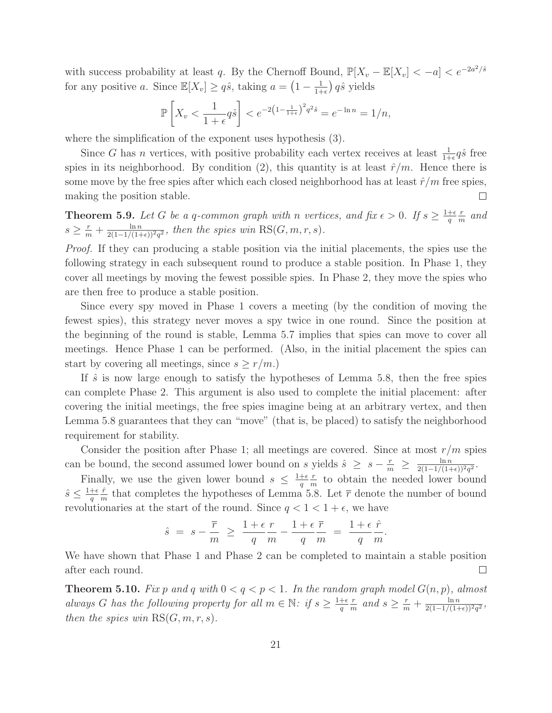with success probability at least q. By the Chernoff Bound,  $\mathbb{P}[X_v - \mathbb{E}[X_v] < -a] < e^{-2a^2/\hat{s}}$ for any positive a. Since  $\mathbb{E}[X_v] \ge q\hat{s}$ , taking  $a = \left(1 - \frac{1}{1 + \epsilon}\right)$  $\frac{1}{1+\epsilon}$ )  $q\hat{s}$  yields

$$
\mathbb{P}\left[X_v < \frac{1}{1+\epsilon}q\hat{s}\right] < e^{-2\left(1-\frac{1}{1+\epsilon}\right)^2 q^2 \hat{s}} = e^{-\ln n} = 1/n,
$$

where the simplification of the exponent uses hypothesis (3).

Since G has n vertices, with positive probability each vertex receives at least  $\frac{1}{1+\epsilon}q\hat{s}$  free spies in its neighborhood. By condition (2), this quantity is at least  $\hat{r}/m$ . Hence there is some move by the free spies after which each closed neighborhood has at least  $\hat{r}/m$  free spies, making the position stable.  $\Box$ 

**Theorem 5.9.** Let G be a q-common graph with n vertices, and fix  $\epsilon > 0$ . If  $s \geq \frac{1+\epsilon}{q}$ q r  $\frac{r}{m}$  and  $s \geq \frac{r}{m} + \frac{\ln n}{2(1-1/(1+\epsilon))^2 q^2}$ , then the spies win RS( $G, m, r, s$ ).

*Proof.* If they can producing a stable position via the initial placements, the spies use the following strategy in each subsequent round to produce a stable position. In Phase 1, they cover all meetings by moving the fewest possible spies. In Phase 2, they move the spies who are then free to produce a stable position.

Since every spy moved in Phase 1 covers a meeting (by the condition of moving the fewest spies), this strategy never moves a spy twice in one round. Since the position at the beginning of the round is stable, Lemma 5.7 implies that spies can move to cover all meetings. Hence Phase 1 can be performed. (Also, in the initial placement the spies can start by covering all meetings, since  $s \geq r/m$ .

If  $\hat{s}$  is now large enough to satisfy the hypotheses of Lemma 5.8, then the free spies can complete Phase 2. This argument is also used to complete the initial placement: after covering the initial meetings, the free spies imagine being at an arbitrary vertex, and then Lemma 5.8 guarantees that they can "move" (that is, be placed) to satisfy the neighborhood requirement for stability.

Consider the position after Phase 1; all meetings are covered. Since at most  $r/m$  spies can be bound, the second assumed lower bound on s yields  $\hat{s} \geq s - \frac{r}{m} \geq \frac{\ln n}{2(1-1/(1+\epsilon))^2 q^2}$ .

Finally, we use the given lower bound  $s \leq \frac{1+\epsilon}{q}$  $\overline{q}$ r  $\frac{r}{m}$  to obtain the needed lower bound  $\hat{s} \leq \frac{1+\epsilon}{q}$ q  $\hat{r}$  $\frac{r}{m}$  that completes the hypotheses of Lemma 5.8. Let  $\bar{r}$  denote the number of bound revolutionaries at the start of the round. Since  $q < 1 < 1 + \epsilon$ , we have

$$
\hat{s} = s - \frac{\overline{r}}{m} \ge \frac{1 + \epsilon}{q} \frac{r}{m} - \frac{1 + \epsilon}{q} \frac{\overline{r}}{m} = \frac{1 + \epsilon}{q} \frac{\hat{r}}{m}.
$$

We have shown that Phase 1 and Phase 2 can be completed to maintain a stable position after each round.  $\Box$ 

**Theorem 5.10.** Fix p and q with  $0 < q < p < 1$ . In the random graph model  $G(n, p)$ , almost *always* G has the following property for all  $m \in \mathbb{N}$ : if  $s \geq \frac{1+\epsilon}{q}$ q r  $\frac{r}{m}$  and  $s \geq \frac{r}{m} + \frac{\ln n}{2(1-1/(1+\epsilon))^2 q^2}$ *then the spies win*  $RS(G, m, r, s)$ *.*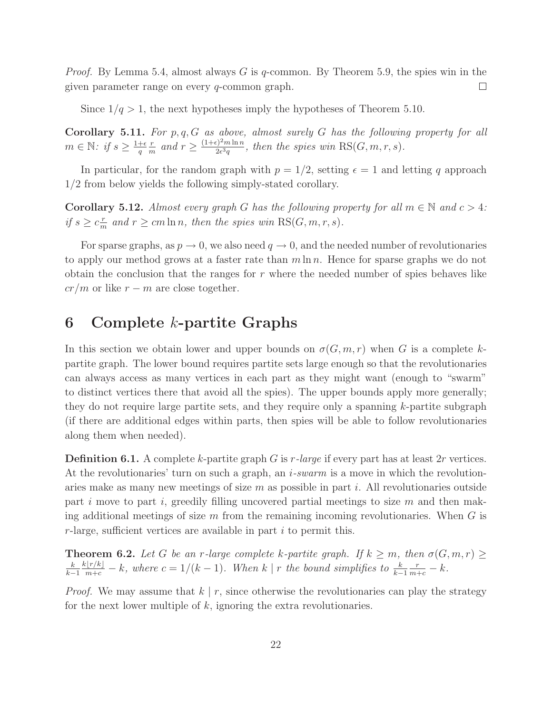*Proof.* By Lemma 5.4, almost always G is q-common. By Theorem 5.9, the spies win in the given parameter range on every q-common graph.  $\Box$ 

Since  $1/q > 1$ , the next hypotheses imply the hypotheses of Theorem 5.10.

Corollary 5.11. *For* p,q,G *as above, almost surely* G *has the following property for all*  $m \in \mathbb{N}$ : if  $s \geq \frac{1+\epsilon}{q}$ q r  $\frac{r}{m}$  and  $r \geq \frac{(1+\epsilon)^2 m \ln n}{2\epsilon^3 q}$  $\frac{2e^{2m \ln n}}{2e^{3q}}$ , then the spies win  $\mathrm{RS}(G,m,r,s)$ .

In particular, for the random graph with  $p = 1/2$ , setting  $\epsilon = 1$  and letting q approach 1/2 from below yields the following simply-stated corollary.

**Corollary 5.12.** *Almost every graph* G *has the following property for all*  $m \in \mathbb{N}$  *and*  $c > 4$ *: if*  $s \geq c_{\overline{n}}^r$  $\frac{r}{m}$  and  $r \ge cm \ln n$ , then the spies win  $\text{RS}(G, m, r, s)$ .

For sparse graphs, as  $p \to 0$ , we also need  $q \to 0$ , and the needed number of revolutionaries to apply our method grows at a faster rate than  $m \ln n$ . Hence for sparse graphs we do not obtain the conclusion that the ranges for  $r$  where the needed number of spies behaves like  $cr/m$  or like  $r - m$  are close together.

# 6 Complete k-partite Graphs

In this section we obtain lower and upper bounds on  $\sigma(G, m, r)$  when G is a complete kpartite graph. The lower bound requires partite sets large enough so that the revolutionaries can always access as many vertices in each part as they might want (enough to "swarm" to distinct vertices there that avoid all the spies). The upper bounds apply more generally; they do not require large partite sets, and they require only a spanning k-partite subgraph (if there are additional edges within parts, then spies will be able to follow revolutionaries along them when needed).

Definition 6.1. A complete k-partite graph G is r*-large* if every part has at least 2r vertices. At the revolutionaries' turn on such a graph, an i*-swarm* is a move in which the revolutionaries make as many new meetings of size  $m$  as possible in part i. All revolutionaries outside part i move to part i, greedily filling uncovered partial meetings to size  $m$  and then making additional meetings of size  $m$  from the remaining incoming revolutionaries. When  $G$  is r-large, sufficient vertices are available in part  $i$  to permit this.

**Theorem 6.2.** Let G be an r-large complete k-partite graph. If  $k \geq m$ , then  $\sigma(G, m, r) \geq$ k  $k-1$  $\frac{k[r/k]}{m+c} - k$ , where  $c = 1/(k-1)$ . When  $k | r$  the bound simplifies to  $\frac{k}{k-1}$  $\frac{r}{m+c} - k$ .

*Proof.* We may assume that  $k \mid r$ , since otherwise the revolutionaries can play the strategy for the next lower multiple of  $k$ , ignoring the extra revolutionaries.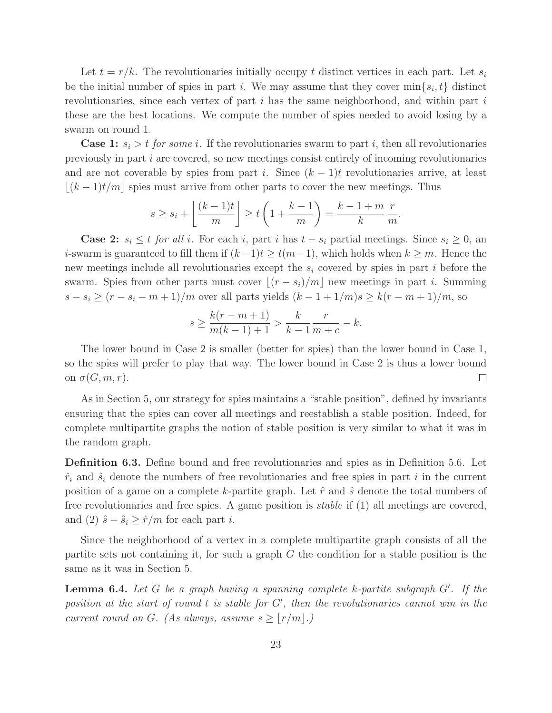Let  $t = r/k$ . The revolutionaries initially occupy t distinct vertices in each part. Let  $s_i$ be the initial number of spies in part *i*. We may assume that they cover  $\min\{s_i, t\}$  distinct revolutionaries, since each vertex of part  $i$  has the same neighborhood, and within part  $i$ these are the best locations. We compute the number of spies needed to avoid losing by a swarm on round 1.

**Case 1:**  $s_i > t$  for some i. If the revolutionaries swarm to part i, then all revolutionaries previously in part  $i$  are covered, so new meetings consist entirely of incoming revolutionaries and are not coverable by spies from part i. Since  $(k-1)t$  revolutionaries arrive, at least  $\lfloor (k-1)t/m \rfloor$  spies must arrive from other parts to cover the new meetings. Thus

$$
s \ge s_i + \left\lfloor \frac{(k-1)t}{m} \right\rfloor \ge t \left(1 + \frac{k-1}{m}\right) = \frac{k-1+m}{k} \frac{r}{m}.
$$

**Case 2:**  $s_i \leq t$  *for all* i. For each i, part i has  $t - s_i$  partial meetings. Since  $s_i \geq 0$ , an *i*-swarm is guaranteed to fill them if  $(k-1)t \ge t(m-1)$ , which holds when  $k \ge m$ . Hence the new meetings include all revolutionaries except the  $s_i$  covered by spies in part i before the swarm. Spies from other parts must cover  $|(r - s_i)/m|$  new meetings in part i. Summing  $s - s_i \ge (r - s_i - m + 1)/m$  over all parts yields  $(k - 1 + 1/m)s \ge k(r - m + 1)/m$ , so

$$
s \ge \frac{k(r-m+1)}{m(k-1)+1} > \frac{k}{k-1} \frac{r}{m+c} - k.
$$

The lower bound in Case 2 is smaller (better for spies) than the lower bound in Case 1, so the spies will prefer to play that way. The lower bound in Case 2 is thus a lower bound on  $\sigma(G,m,r)$ .  $\Box$ 

As in Section 5, our strategy for spies maintains a "stable position", defined by invariants ensuring that the spies can cover all meetings and reestablish a stable position. Indeed, for complete multipartite graphs the notion of stable position is very similar to what it was in the random graph.

Definition 6.3. Define bound and free revolutionaries and spies as in Definition 5.6. Let  $\hat{r}_i$  and  $\hat{s}_i$  denote the numbers of free revolutionaries and free spies in part i in the current position of a game on a complete k-partite graph. Let  $\hat{r}$  and  $\hat{s}$  denote the total numbers of free revolutionaries and free spies. A game position is *stable* if (1) all meetings are covered, and (2)  $\hat{s} - \hat{s}_i \ge \hat{r}/m$  for each part *i*.

Since the neighborhood of a vertex in a complete multipartite graph consists of all the partite sets not containing it, for such a graph  $G$  the condition for a stable position is the same as it was in Section 5.

Lemma 6.4. *Let* G *be a graph having a spanning complete* k*-partite subgraph* G′ *. If the position at the start of round* t *is stable for* G′ *, then the revolutionaries cannot win in the current round on G. (As always, assume*  $s \geq |r/m|$ *.)*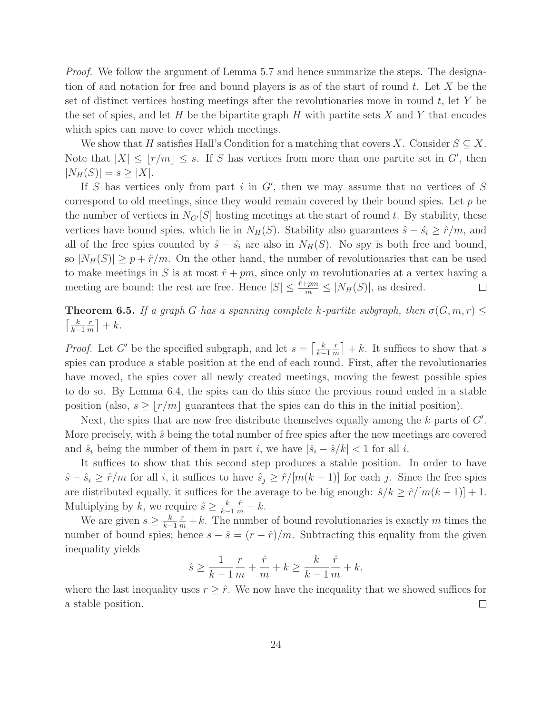*Proof.* We follow the argument of Lemma 5.7 and hence summarize the steps. The designation of and notation for free and bound players is as of the start of round t. Let X be the set of distinct vertices hosting meetings after the revolutionaries move in round  $t$ , let Y be the set of spies, and let H be the bipartite graph H with partite sets X and Y that encodes which spies can move to cover which meetings.

We show that H satisfies Hall's Condition for a matching that covers X. Consider  $S \subseteq X$ . Note that  $|X| \leq \lfloor r/m \rfloor \leq s$ . If S has vertices from more than one partite set in G', then  $|N_H(S)| = s \ge |X|.$ 

If S has vertices only from part i in  $G'$ , then we may assume that no vertices of S correspond to old meetings, since they would remain covered by their bound spies. Let  $p$  be the number of vertices in  $N_{G'}[S]$  hosting meetings at the start of round t. By stability, these vertices have bound spies, which lie in  $N_H(S)$ . Stability also guarantees  $\hat{s} - \hat{s_i} \ge \hat{r}/m$ , and all of the free spies counted by  $\hat{s} - \hat{s_i}$  are also in  $N_H(S)$ . No spy is both free and bound, so  $|N_H(S)| \geq p + \hat{r}/m$ . On the other hand, the number of revolutionaries that can be used to make meetings in S is at most  $\hat{r} + pm$ , since only m revolutionaries at a vertex having a meeting are bound; the rest are free. Hence  $|S| \leq \frac{\hat{r}+pm}{m} \leq |N_H(S)|$ , as desired.  $\Box$ 

**Theorem 6.5.** *If a graph* G *has a spanning complete* k-partite subgraph, then  $\sigma(G, m, r) \leq$  $\lceil \frac{k}{k} \rceil$  $k-1$ r  $\frac{r}{m}$  + k.

*Proof.* Let G' be the specified subgraph, and let  $s = \left[\frac{k}{k}\right]$  $k-1$ r  $\left\lfloor \frac{r}{m} \right\rfloor + k$ . It suffices to show that s spies can produce a stable position at the end of each round. First, after the revolutionaries have moved, the spies cover all newly created meetings, moving the fewest possible spies to do so. By Lemma 6.4, the spies can do this since the previous round ended in a stable position (also,  $s \geq |r/m|$  guarantees that the spies can do this in the initial position).

Next, the spies that are now free distribute themselves equally among the  $k$  parts of  $G'$ . More precisely, with  $\hat{s}$  being the total number of free spies after the new meetings are covered and  $\hat{s}_i$  being the number of them in part i, we have  $|\hat{s}_i - \hat{s}/k| < 1$  for all i.

It suffices to show that this second step produces a stable position. In order to have  $\hat{s} - \hat{s}_i \ge \hat{r}/m$  for all i, it suffices to have  $\hat{s}_j \ge \hat{r}/[m(k-1)]$  for each j. Since the free spies are distributed equally, it suffices for the average to be big enough:  $\hat{s}/k \ge \hat{r}/[m(k-1)] + 1$ . Multiplying by k, we require  $\hat{s} \geq \frac{k}{k-1}$  $\frac{k-1}{k}$  $\frac{\hat{r}}{m}+k.$ 

We are given  $s \geq \frac{k}{k-1}$  $k-1$  $\frac{r}{m} + k$ . The number of bound revolutionaries is exactly m times the number of bound spies; hence  $s - \hat{s} = (r - \hat{r})/m$ . Subtracting this equality from the given inequality yields

$$
\hat{s} \ge \frac{1}{k-1} \frac{r}{m} + \frac{\hat{r}}{m} + k \ge \frac{k}{k-1} \frac{\hat{r}}{m} + k,
$$

where the last inequality uses  $r \geq \hat{r}$ . We now have the inequality that we showed suffices for a stable position.  $\Box$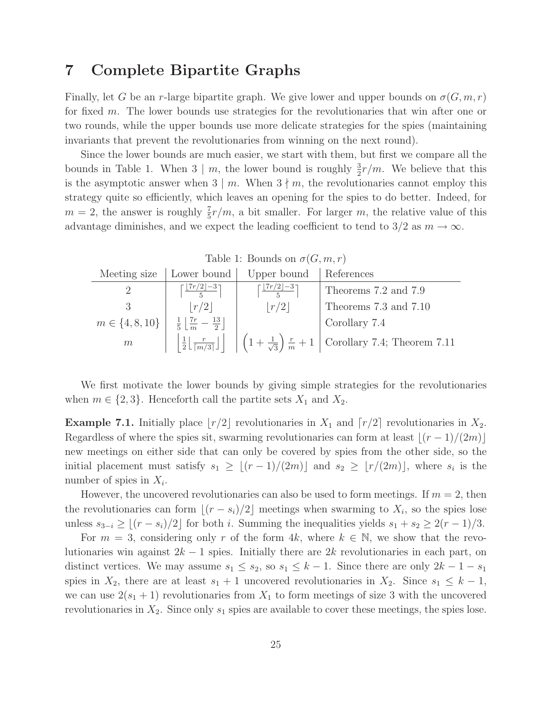### 7 Complete Bipartite Graphs

Finally, let G be an r-large bipartite graph. We give lower and upper bounds on  $\sigma(G, m, r)$ for fixed m. The lower bounds use strategies for the revolutionaries that win after one or two rounds, while the upper bounds use more delicate strategies for the spies (maintaining invariants that prevent the revolutionaries from winning on the next round).

Since the lower bounds are much easier, we start with them, but first we compare all the bounds in Table 1. When  $3 \mid m$ , the lower bound is roughly  $\frac{3}{2}r/m$ . We believe that this is the asymptotic answer when  $3 \mid m$ . When  $3 \nmid m$ , the revolutionaries cannot employ this strategy quite so efficiently, which leaves an opening for the spies to do better. Indeed, for  $m = 2$ , the answer is roughly  $\frac{7}{5}r/m$ , a bit smaller. For larger m, the relative value of this advantage diminishes, and we expect the leading coefficient to tend to 3/2 as  $m \to \infty$ .

| Table 1: Bounds on $\sigma(G, m, r)$ |                                                                      |                                          |                                                                              |  |  |
|--------------------------------------|----------------------------------------------------------------------|------------------------------------------|------------------------------------------------------------------------------|--|--|
| Meeting size                         | Lower bound                                                          | Upper bound                              | References                                                                   |  |  |
| $\overline{2}$                       | $\lceil \lfloor \frac{7r}{2} \rfloor - 3 \rceil$                     | $\lceil \lfloor 7r/2 \rfloor - 3 \rceil$ | Theorems 7.2 and 7.9                                                         |  |  |
|                                      | $\lfloor r/2 \rfloor$                                                | r/2                                      | Theorems 7.3 and 7.10                                                        |  |  |
| $m \in \{4, 8, 10\}$                 | $\frac{1}{5}$ $\frac{7r}{5}$ $\frac{13}{5}$                          |                                          | Corollary 7.4                                                                |  |  |
| m                                    | $\frac{1}{2} \left\lfloor \frac{r}{\lceil m/3 \rceil} \right\rfloor$ |                                          | $\left(1+\frac{1}{\sqrt{3}}\right)\frac{r}{m}+1$ Corollary 7.4; Theorem 7.11 |  |  |

We first motivate the lower bounds by giving simple strategies for the revolutionaries when  $m \in \{2, 3\}$ . Henceforth call the partite sets  $X_1$  and  $X_2$ .

**Example 7.1.** Initially place  $\lfloor r/2 \rfloor$  revolutionaries in  $X_1$  and  $\lfloor r/2 \rfloor$  revolutionaries in  $X_2$ . Regardless of where the spies sit, swarming revolutionaries can form at least  $\lfloor (r-1)/(2m) \rfloor$ new meetings on either side that can only be covered by spies from the other side, so the initial placement must satisfy  $s_1 \geq \lfloor (r-1)/(2m) \rfloor$  and  $s_2 \geq \lfloor r/(2m) \rfloor$ , where  $s_i$  is the number of spies in  $X_i$ .

However, the uncovered revolutionaries can also be used to form meetings. If  $m = 2$ , then the revolutionaries can form  $\lfloor (r - s_i)/2 \rfloor$  meetings when swarming to  $X_i$ , so the spies lose unless  $s_{3-i} \geq \lfloor (r - s_i)/2 \rfloor$  for both *i*. Summing the inequalities yields  $s_1 + s_2 \geq 2(r - 1)/3$ .

For  $m = 3$ , considering only r of the form 4k, where  $k \in \mathbb{N}$ , we show that the revolutionaries win against  $2k - 1$  spies. Initially there are  $2k$  revolutionaries in each part, on distinct vertices. We may assume  $s_1 \leq s_2$ , so  $s_1 \leq k-1$ . Since there are only  $2k-1-s_1$ spies in  $X_2$ , there are at least  $s_1 + 1$  uncovered revolutionaries in  $X_2$ . Since  $s_1 \leq k - 1$ , we can use  $2(s_1 + 1)$  revolutionaries from  $X_1$  to form meetings of size 3 with the uncovered revolutionaries in  $X_2$ . Since only  $s_1$  spies are available to cover these meetings, the spies lose.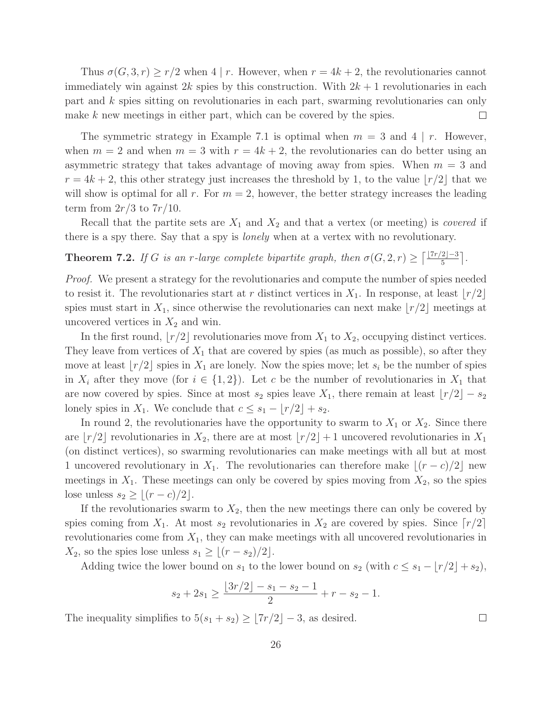Thus  $\sigma(G, 3, r) \geq r/2$  when 4 | r. However, when  $r = 4k + 2$ , the revolutionaries cannot immediately win against 2k spies by this construction. With  $2k + 1$  revolutionaries in each part and k spies sitting on revolutionaries in each part, swarming revolutionaries can only  $\Box$ make k new meetings in either part, which can be covered by the spies.

The symmetric strategy in Example 7.1 is optimal when  $m = 3$  and 4 | r. However, when  $m = 2$  and when  $m = 3$  with  $r = 4k + 2$ , the revolutionaries can do better using an asymmetric strategy that takes advantage of moving away from spies. When  $m = 3$  and  $r = 4k + 2$ , this other strategy just increases the threshold by 1, to the value  $\lfloor r/2 \rfloor$  that we will show is optimal for all r. For  $m = 2$ , however, the better strategy increases the leading term from  $2r/3$  to  $7r/10$ .

Recall that the partite sets are  $X_1$  and  $X_2$  and that a vertex (or meeting) is *covered* if there is a spy there. Say that a spy is *lonely* when at a vertex with no revolutionary.

**Theorem 7.2.** *If* G *is an r*-large complete bipartite graph, then  $\sigma(G, 2, r) \geq \lceil \frac{\lfloor 7r/2 \rfloor - 3}{5} \rceil$ .

*Proof.* We present a strategy for the revolutionaries and compute the number of spies needed to resist it. The revolutionaries start at r distinct vertices in  $X_1$ . In response, at least  $\lfloor r/2 \rfloor$ spies must start in  $X_1$ , since otherwise the revolutionaries can next make  $\lfloor r/2 \rfloor$  meetings at uncovered vertices in  $X_2$  and win.

In the first round,  $|r/2|$  revolutionaries move from  $X_1$  to  $X_2$ , occupying distinct vertices. They leave from vertices of  $X_1$  that are covered by spies (as much as possible), so after they move at least  $\lfloor r/2 \rfloor$  spies in  $X_1$  are lonely. Now the spies move; let  $s_i$  be the number of spies in  $X_i$  after they move (for  $i \in \{1,2\}$ ). Let c be the number of revolutionaries in  $X_1$  that are now covered by spies. Since at most  $s_2$  spies leave  $X_1$ , there remain at least  $\lfloor r/2 \rfloor - s_2$ lonely spies in  $X_1$ . We conclude that  $c \leq s_1 - \lfloor r/2 \rfloor + s_2$ .

In round 2, the revolutionaries have the opportunity to swarm to  $X_1$  or  $X_2$ . Since there are  $\lfloor r/2 \rfloor$  revolutionaries in  $X_2$ , there are at most  $\lfloor r/2 \rfloor + 1$  uncovered revolutionaries in  $X_1$ (on distinct vertices), so swarming revolutionaries can make meetings with all but at most 1 uncovered revolutionary in  $X_1$ . The revolutionaries can therefore make  $\lfloor (r-c)/2 \rfloor$  new meetings in  $X_1$ . These meetings can only be covered by spies moving from  $X_2$ , so the spies lose unless  $s_2 \geq |(r-c)/2|$ .

If the revolutionaries swarm to  $X_2$ , then the new meetings there can only be covered by spies coming from  $X_1$ . At most  $s_2$  revolutionaries in  $X_2$  are covered by spies. Since  $\lfloor r/2 \rfloor$ revolutionaries come from  $X_1$ , they can make meetings with all uncovered revolutionaries in  $X_2$ , so the spies lose unless  $s_1 \geq \lfloor (r - s_2)/2 \rfloor$ .

Adding twice the lower bound on  $s_1$  to the lower bound on  $s_2$  (with  $c \leq s_1 - \lfloor r/2 \rfloor + s_2$ ),

$$
s_2 + 2s_1 \ge \frac{\lfloor 3r/2 \rfloor - s_1 - s_2 - 1}{2} + r - s_2 - 1.
$$

The inequality simplifies to  $5(s_1 + s_2) \geq \lfloor 7r/2 \rfloor - 3$ , as desired.

 $\Box$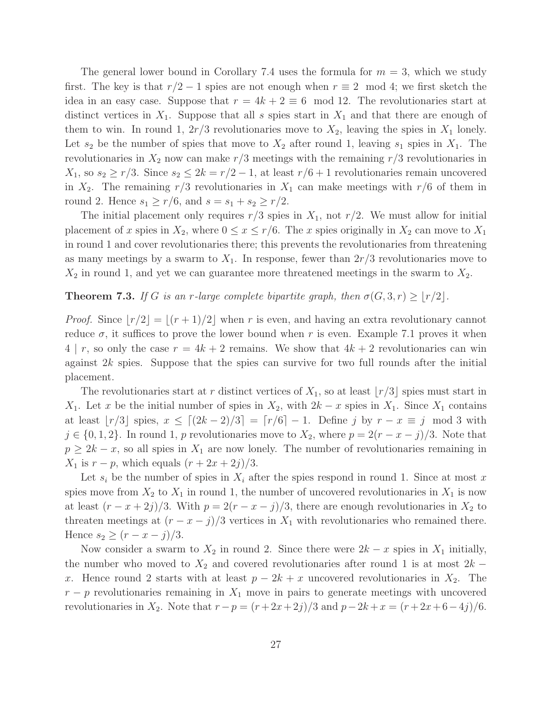The general lower bound in Corollary 7.4 uses the formula for  $m = 3$ , which we study first. The key is that  $r/2 - 1$  spies are not enough when  $r \equiv 2 \mod 4$ ; we first sketch the idea in an easy case. Suppose that  $r = 4k + 2 \equiv 6 \mod 12$ . The revolutionaries start at distinct vertices in  $X_1$ . Suppose that all s spies start in  $X_1$  and that there are enough of them to win. In round 1,  $2r/3$  revolutionaries move to  $X_2$ , leaving the spies in  $X_1$  lonely. Let  $s_2$  be the number of spies that move to  $X_2$  after round 1, leaving  $s_1$  spies in  $X_1$ . The revolutionaries in  $X_2$  now can make  $r/3$  meetings with the remaining  $r/3$  revolutionaries in  $X_1$ , so  $s_2 \ge r/3$ . Since  $s_2 \le 2k = r/2 - 1$ , at least  $r/6 + 1$  revolutionaries remain uncovered in  $X_2$ . The remaining  $r/3$  revolutionaries in  $X_1$  can make meetings with  $r/6$  of them in round 2. Hence  $s_1 \ge r/6$ , and  $s = s_1 + s_2 \ge r/2$ .

The initial placement only requires  $r/3$  spies in  $X_1$ , not  $r/2$ . We must allow for initial placement of x spies in  $X_2$ , where  $0 \le x \le r/6$ . The x spies originally in  $X_2$  can move to  $X_1$ in round 1 and cover revolutionaries there; this prevents the revolutionaries from threatening as many meetings by a swarm to  $X_1$ . In response, fewer than  $2r/3$  revolutionaries move to  $X_2$  in round 1, and yet we can guarantee more threatened meetings in the swarm to  $X_2$ .

#### **Theorem 7.3.** *If* G *is an r*-large complete bipartite graph, then  $\sigma(G, 3, r) \ge |r/2|$ .

*Proof.* Since  $\lfloor r/2 \rfloor = \lfloor (r+1)/2 \rfloor$  when r is even, and having an extra revolutionary cannot reduce  $\sigma$ , it suffices to prove the lower bound when r is even. Example 7.1 proves it when  $4 \mid r$ , so only the case  $r = 4k + 2$  remains. We show that  $4k + 2$  revolutionaries can win against 2k spies. Suppose that the spies can survive for two full rounds after the initial placement.

The revolutionaries start at r distinct vertices of  $X_1$ , so at least  $|r/3|$  spies must start in  $X_1$ . Let x be the initial number of spies in  $X_2$ , with  $2k - x$  spies in  $X_1$ . Since  $X_1$  contains at least  $|r/3|$  spies,  $x \leq [(2k-2)/3] = [r/6]-1$ . Define j by  $r - x \equiv j \mod 3$  with  $j \in \{0, 1, 2\}$ . In round 1, p revolutionaries move to  $X_2$ , where  $p = 2(r - x - j)/3$ . Note that  $p \geq 2k - x$ , so all spies in  $X_1$  are now lonely. The number of revolutionaries remaining in  $X_1$  is  $r - p$ , which equals  $(r + 2x + 2j)/3$ .

Let  $s_i$  be the number of spies in  $X_i$  after the spies respond in round 1. Since at most x spies move from  $X_2$  to  $X_1$  in round 1, the number of uncovered revolutionaries in  $X_1$  is now at least  $(r - x + 2j)/3$ . With  $p = 2(r - x - j)/3$ , there are enough revolutionaries in  $X_2$  to threaten meetings at  $(r - x - j)/3$  vertices in  $X_1$  with revolutionaries who remained there. Hence  $s_2 \ge (r - x - j)/3$ .

Now consider a swarm to  $X_2$  in round 2. Since there were  $2k - x$  spies in  $X_1$  initially, the number who moved to  $X_2$  and covered revolutionaries after round 1 is at most 2k − x. Hence round 2 starts with at least  $p - 2k + x$  uncovered revolutionaries in  $X_2$ . The  $r - p$  revolutionaries remaining in  $X_1$  move in pairs to generate meetings with uncovered revolutionaries in  $X_2$ . Note that  $r - p = (r + 2x + 2j)/3$  and  $p - 2k + x = (r + 2x + 6 - 4j)/6$ .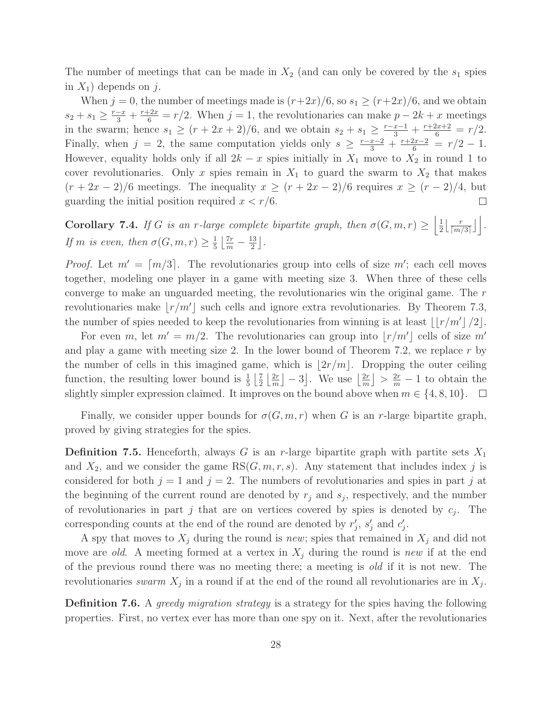The number of meetings that can be made in  $X_2$  (and can only be covered by the  $s_1$  spies in  $X_1$ ) depends on j.

When  $j = 0$ , the number of meetings made is  $(r+2x)/6$ , so  $s_1 \ge (r+2x)/6$ , and we obtain  $s_2 + s_1 \geq \frac{r-x}{3} + \frac{r+2x}{6} = r/2$ . When  $j = 1$ , the revolutionaries can make  $p - 2k + x$  meetings in the swarm; hence  $s_1 \ge (r + 2r + 2)/6$ , and we obtain  $s_2 + s_1 \ge \frac{r - r - 1}{3} + \frac{r + 2r + 2}{6} = r/2$ . Finally, when  $j = 2$ , the same computation yields only  $s \geq \frac{r-x-2}{3} + \frac{r+2x-2}{6} = r/2 - 1$ . However, equality holds only if all  $2k - x$  spies initially in  $X_1$  move to  $X_2$  in round 1 to cover revolutionaries. Only x spies remain in  $X_1$  to guard the swarm to  $X_2$  that makes  $(r + 2x - 2)/6$  meetings. The inequality  $x \ge (r + 2x - 2)/6$  requires  $x \ge (r - 2)/4$ , but guarding the initial position required  $x < r/6$ .  $\Box$ 

Corollary 7.4. *If* G *is an r*-large complete bipartite graph, then  $\sigma(G, m, r) \geq \left| \frac{1}{2} \right|$  $\frac{1}{2}\left\lfloor \frac{r}{\lceil m \rceil}\right\rfloor$  $\frac{r}{\lceil m/3 \rceil} \rfloor$ . *If m is even, then*  $\sigma(G, m, r) \geq \frac{1}{5}$  $rac{1}{5}$  $rac{7r}{m} - \frac{13}{2}$  $\frac{13}{2}$ .

*Proof.* Let  $m' = \lceil m/3 \rceil$ . The revolutionaries group into cells of size  $m'$ ; each cell moves together, modeling one player in a game with meeting size 3. When three of these cells converge to make an unguarded meeting, the revolutionaries win the original game. The r revolutionaries make  $\lfloor r/m' \rfloor$  such cells and ignore extra revolutionaries. By Theorem 7.3, the number of spies needed to keep the revolutionaries from winning is at least  $\lfloor r/m' \rfloor / 2 \rfloor$ .

For even m, let  $m' = m/2$ . The revolutionaries can group into  $\lfloor r/m' \rfloor$  cells of size m' and play a game with meeting size 2. In the lower bound of Theorem 7.2, we replace  $r$  by the number of cells in this imagined game, which is  $|2r/m|$ . Dropping the outer ceiling function, the resulting lower bound is  $\frac{1}{5}$   $\left[\frac{7}{2}\right]$  $rac{7}{2} \left\lfloor \frac{2r}{m} \right\rfloor$  $\left\lfloor \frac{2r}{m} \right\rfloor - 3$ . We use  $\left\lfloor \frac{2r}{m} \right\rfloor$  $\left\lfloor \frac{2r}{m} \right\rfloor > \frac{2r}{m} - 1$  to obtain the slightly simpler expression claimed. It improves on the bound above when  $m \in \{4, 8, 10\}$ .  $\Box$ 

Finally, we consider upper bounds for  $\sigma(G,m,r)$  when G is an r-large bipartite graph, proved by giving strategies for the spies.

**Definition 7.5.** Henceforth, always G is an r-large bipartite graph with partite sets  $X_1$ and  $X_2$ , and we consider the game  $RS(G, m, r, s)$ . Any statement that includes index j is considered for both  $j = 1$  and  $j = 2$ . The numbers of revolutionaries and spies in part j at the beginning of the current round are denoted by  $r_j$  and  $s_j$ , respectively, and the number of revolutionaries in part j that are on vertices covered by spies is denoted by  $c_j$ . The corresponding counts at the end of the round are denoted by  $r'_j$ ,  $s'_j$  and  $c'_j$ .

A spy that moves to  $X_j$  during the round is *new*; spies that remained in  $X_j$  and did not move are *old*. A meeting formed at a vertex in  $X_i$  during the round is *new* if at the end of the previous round there was no meeting there; a meeting is *old* if it is not new. The revolutionaries *swarm*  $X_j$  in a round if at the end of the round all revolutionaries are in  $X_j$ .

Definition 7.6. A *greedy migration strategy* is a strategy for the spies having the following properties. First, no vertex ever has more than one spy on it. Next, after the revolutionaries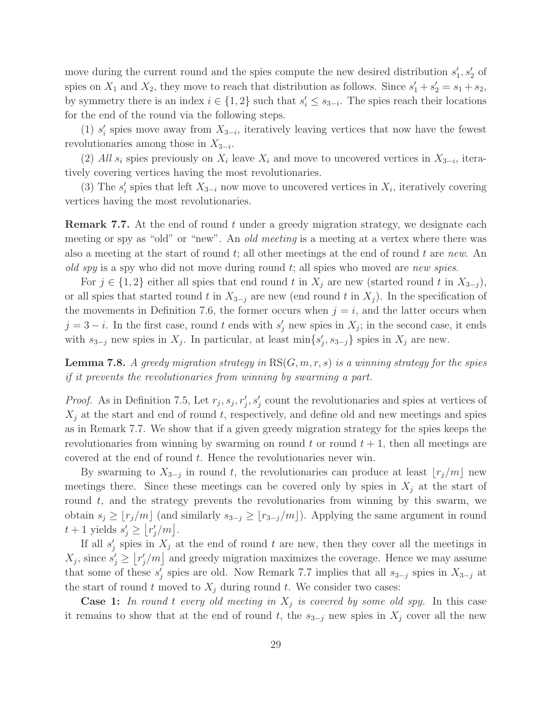move during the current round and the spies compute the new desired distribution  $s'_1, s'_2$  of spies on  $X_1$  and  $X_2$ , they move to reach that distribution as follows. Since  $s'_1 + s'_2 = s_1 + s_2$ , by symmetry there is an index  $i \in \{1,2\}$  such that  $s'_i \leq s_{3-i}$ . The spies reach their locations for the end of the round via the following steps.

(1)  $s_i'$  spies move away from  $X_{3-i}$ , iteratively leaving vertices that now have the fewest revolutionaries among those in  $X_{3-i}$ .

(2) All  $s_i$  spies previously on  $X_i$  leave  $X_i$  and move to uncovered vertices in  $X_{3-i}$ , iteratively covering vertices having the most revolutionaries.

(3) The  $s_i'$  spies that left  $X_{3-i}$  now move to uncovered vertices in  $X_i$ , iteratively covering vertices having the most revolutionaries.

**Remark 7.7.** At the end of round t under a greedy migration strategy, we designate each meeting or spy as "old" or "new". An *old meeting* is a meeting at a vertex where there was also a meeting at the start of round t; all other meetings at the end of round t are *new*. An *old spy* is a spy who did not move during round t; all spies who moved are *new spies*.

For  $j \in \{1,2\}$  either all spies that end round t in  $X_j$  are new (started round t in  $X_{3-j}$ ), or all spies that started round t in  $X_{3-j}$  are new (end round t in  $X_j$ ). In the specification of the movements in Definition 7.6, the former occurs when  $j = i$ , and the latter occurs when  $j = 3 - i$ . In the first case, round t ends with  $s'_{j}$  new spies in  $X_{j}$ ; in the second case, it ends with  $s_{3-j}$  new spies in  $X_j$ . In particular, at least  $\min\{s'_j, s_{3-j}\}\$  spies in  $X_j$  are new.

Lemma 7.8. *A greedy migration strategy in* RS(G,m,r,s) *is a winning strategy for the spies if it prevents the revolutionaries from winning by swarming a part.*

*Proof.* As in Definition 7.5, Let  $r_j$ ,  $s_j$ ,  $r'_j$ ,  $s'_j$  count the revolutionaries and spies at vertices of  $X_i$  at the start and end of round t, respectively, and define old and new meetings and spies as in Remark 7.7. We show that if a given greedy migration strategy for the spies keeps the revolutionaries from winning by swarming on round t or round  $t + 1$ , then all meetings are covered at the end of round t. Hence the revolutionaries never win.

By swarming to  $X_{3-j}$  in round t, the revolutionaries can produce at least  $\lfloor r_j/m \rfloor$  new meetings there. Since these meetings can be covered only by spies in  $X_i$  at the start of round  $t$ , and the strategy prevents the revolutionaries from winning by this swarm, we obtain  $s_j \geq \lfloor r_j/m \rfloor$  (and similarly  $s_{3-j} \geq \lfloor r_{3-j}/m \rfloor$ ). Applying the same argument in round  $t+1$  yields  $s'_j \geq \lfloor r'_j/m \rfloor$ .

If all  $s'_j$  spies in  $X_j$  at the end of round t are new, then they cover all the meetings in  $X_j$ , since  $s'_j \geq \lfloor r'_j/m \rfloor$  and greedy migration maximizes the coverage. Hence we may assume that some of these  $s'_j$  spies are old. Now Remark 7.7 implies that all  $s_{3-j}$  spies in  $X_{3-j}$  at the start of round t moved to  $X_i$  during round t. We consider two cases:

**Case 1:** In round t every old meeting in  $X_j$  is covered by some old spy. In this case it remains to show that at the end of round t, the  $s_{3-j}$  new spies in  $X_j$  cover all the new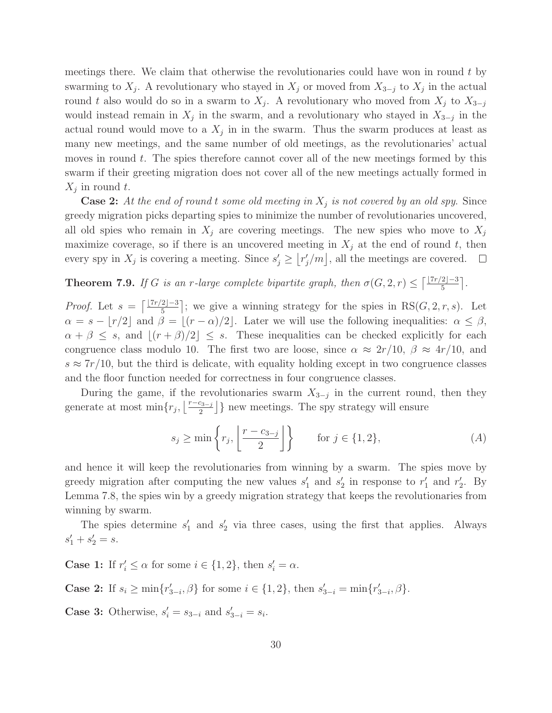meetings there. We claim that otherwise the revolutionaries could have won in round  $t$  by swarming to  $X_j$ . A revolutionary who stayed in  $X_j$  or moved from  $X_{3-j}$  to  $X_j$  in the actual round t also would do so in a swarm to  $X_j$ . A revolutionary who moved from  $X_j$  to  $X_{3-j}$ would instead remain in  $X_j$  in the swarm, and a revolutionary who stayed in  $X_{3-j}$  in the actual round would move to a  $X_j$  in in the swarm. Thus the swarm produces at least as many new meetings, and the same number of old meetings, as the revolutionaries' actual moves in round  $t$ . The spies therefore cannot cover all of the new meetings formed by this swarm if their greeting migration does not cover all of the new meetings actually formed in  $X_j$  in round t.

Case 2: *At the end of round* t *some old meeting in* X<sup>j</sup> *is not covered by an old spy*. Since greedy migration picks departing spies to minimize the number of revolutionaries uncovered, all old spies who remain in  $X_j$  are covering meetings. The new spies who move to  $X_j$ maximize coverage, so if there is an uncovered meeting in  $X_j$  at the end of round t, then every spy in  $X_j$  is covering a meeting. Since  $s'_j \geq \lfloor r'_j/m \rfloor$ , all the meetings are covered.

**Theorem 7.9.** *If* G *is an r*-large complete bipartite graph, then  $\sigma(G, 2, r) \leq \lceil \frac{\lfloor 7r/2 \rfloor - 3}{5} \rceil$ .

*Proof.* Let  $s = \lceil \frac{\lfloor 7r/2 \rfloor - 3}{5} \rceil$ ; we give a winning strategy for the spies in RS(*G*, 2, *r*, *s*). Let  $\alpha = s - \lfloor r/2 \rfloor$  and  $\beta = \lfloor (r - \alpha)/2 \rfloor$ . Later we will use the following inequalities:  $\alpha \leq \beta$ ,  $\alpha + \beta \leq s$ , and  $|(r + \beta)/2| \leq s$ . These inequalities can be checked explicitly for each congruence class modulo 10. The first two are loose, since  $\alpha \approx 2r/10$ ,  $\beta \approx 4r/10$ , and  $s \approx 7r/10$ , but the third is delicate, with equality holding except in two congruence classes and the floor function needed for correctness in four congruence classes.

During the game, if the revolutionaries swarm  $X_{3-j}$  in the current round, then they generate at most  $\min\{r_j, \lfloor\frac{r-c_{3-j}}{2}\rfloor\}$  new meetings. The spy strategy will ensure

$$
s_j \ge \min\left\{r_j, \left\lfloor\frac{r - c_{3-j}}{2}\right\rfloor\right\} \qquad \text{for } j \in \{1, 2\},\tag{A}
$$

and hence it will keep the revolutionaries from winning by a swarm. The spies move by greedy migration after computing the new values  $s'_1$  and  $s'_2$  in response to  $r'_1$  and  $r'_2$ . By Lemma 7.8, the spies win by a greedy migration strategy that keeps the revolutionaries from winning by swarm.

The spies determine  $s'_1$  and  $s'_2$  via three cases, using the first that applies. Always  $s'_1 + s'_2 = s.$ 

**Case 1:** If  $r'_i \leq \alpha$  for some  $i \in \{1, 2\}$ , then  $s'_i = \alpha$ .

**Case 2:** If  $s_i \ge \min\{r'_{3-i}, \beta\}$  for some  $i \in \{1, 2\}$ , then  $s'_{3-i} = \min\{r'_{3-i}, \beta\}$ .

**Case 3:** Otherwise,  $s'_i = s_{3-i}$  and  $s'_{3-i} = s_i$ .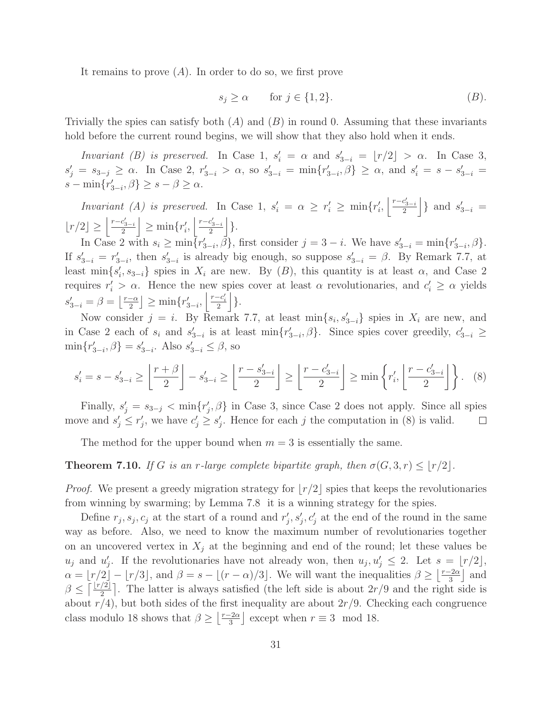It remains to prove  $(A)$ . In order to do so, we first prove

$$
s_j \ge \alpha \qquad \text{for } j \in \{1, 2\}. \tag{B}.
$$

Trivially the spies can satisfy both  $(A)$  and  $(B)$  in round 0. Assuming that these invariants hold before the current round begins, we will show that they also hold when it ends.

*Invariant (B) is preserved.* In Case 1,  $s_i' = \alpha$  and  $s_{3-i}' = \lfloor r/2 \rfloor > \alpha$ . In Case 3,  $s'_j = s_{3-j} \ge \alpha$ . In Case 2,  $r'_{3-i} > \alpha$ , so  $s'_{3-i} = \min\{r'_{3-i}, \beta\} \ge \alpha$ , and  $s'_i = s - s'_{3-i} =$  $s - \min\{r'_{3-i}, \beta\} \geq s - \beta \geq \alpha.$ 

*Invariant (A) is preserved.* In Case 1,  $s'_i = \alpha \geq r'_i \geq \min\{r'_i, \left|\frac{r-c'_{3-i}}{2}\right|$  $\binom{c'_{3-i}}{2}$  and  $s'_{3-i}$  =  $\lfloor r/2 \rfloor \ge \left\lfloor \frac{r-c'_{3-i}}{2} \right\rfloor$  $\left| \frac{c'_{3-i}}{2} \right| \ge \min \{ r'_i, \left| \frac{r-c'_{3-i}}{2} \right|$  $\frac{c_{3-i}'}{2}\Bigg]\Big\}.$ 

In Case 2 with  $s_i \ge \min\{r'_{3-i}, \beta\}$ , first consider  $j = 3 - i$ . We have  $s'_{3-i} = \min\{r'_{3-i}, \beta\}$ . If  $s'_{3-i} = r'_{3-i}$ , then  $s'_{3-i}$  is already big enough, so suppose  $s'_{3-i} = \beta$ . By Remark 7.7, at least  $\min\{s'_i, s_{3-i}\}\$  spies in  $X_i$  are new. By  $(B)$ , this quantity is at least  $\alpha$ , and Case 2 requires  $r'_i > \alpha$ . Hence the new spies cover at least  $\alpha$  revolutionaries, and  $c'_i \geq \alpha$  yields  $s'_{3-i} = \beta = \left\lfloor \frac{r-\alpha}{2} \right\rfloor \ge \min\{r'_{3-i}, \left\lfloor \frac{r-c'_i}{2} \right\rfloor\}.$ 

Now consider  $j = i$ . By Remark 7.7, at least  $\min\{s_i, s'_{3-i}\}\$  spies in  $X_i$  are new, and in Case 2 each of  $s_i$  and  $s'_{3-i}$  is at least  $\min\{r'_{3-i}, \beta\}$ . Since spies cover greedily,  $c'_{3-i} \geq$  $\min\{r'_{3-i}, \beta\} = s'_{3-i}$ . Also  $s'_{3-i} \leq \beta$ , so

$$
s_i' = s - s_{3-i}' \ge \left\lfloor \frac{r+\beta}{2} \right\rfloor - s_{3-i}' \ge \left\lfloor \frac{r-s_{3-i}'}{2} \right\rfloor \ge \left\lfloor \frac{r-c_{3-i}'}{2} \right\rfloor \ge \min\left\{ r_i', \left\lfloor \frac{r-c_{3-i}'}{2} \right\rfloor \right\}.
$$
 (8)

Finally,  $s'_j = s_{3-j} < \min\{r'_j, \beta\}$  in Case 3, since Case 2 does not apply. Since all spies move and  $s'_j \leq r'_j$ , we have  $c'_j \geq s'_j$ . Hence for each j the computation in (8) is valid.  $\Box$ 

The method for the upper bound when  $m = 3$  is essentially the same.

**Theorem 7.10.** *If* G *is an r*-large complete bipartite graph, then  $\sigma(G, 3, r) \leq \lfloor r/2 \rfloor$ .

*Proof.* We present a greedy migration strategy for  $|r/2|$  spies that keeps the revolutionaries from winning by swarming; by Lemma 7.8 it is a winning strategy for the spies.

Define  $r_j, s_j, c_j$  at the start of a round and  $r'_j, s'_j, c'_j$  at the end of the round in the same way as before. Also, we need to know the maximum number of revolutionaries together on an uncovered vertex in  $X_i$  at the beginning and end of the round; let these values be  $u_j$  and  $u'_j$ . If the revolutionaries have not already won, then  $u_j, u'_j \leq 2$ . Let  $s = \lfloor r/2 \rfloor$ ,  $\alpha = \lfloor r/2 \rfloor - \lfloor r/3 \rfloor$ , and  $\beta = s - \lfloor (r - \alpha)/3 \rfloor$ . We will want the inequalities  $\beta \geq \lfloor \frac{r-2\alpha}{3} \rfloor$  and  $\beta \leq \lceil \frac{r/2}{2} \rceil$ . The latter is always satisfied (the left side is about  $2r/9$  and the right side is about  $r/4$ , but both sides of the first inequality are about  $2r/9$ . Checking each congruence class modulo 18 shows that  $\beta \geq \left\lfloor \frac{r-2\alpha}{3} \right\rfloor$  except when  $r \equiv 3 \mod 18$ .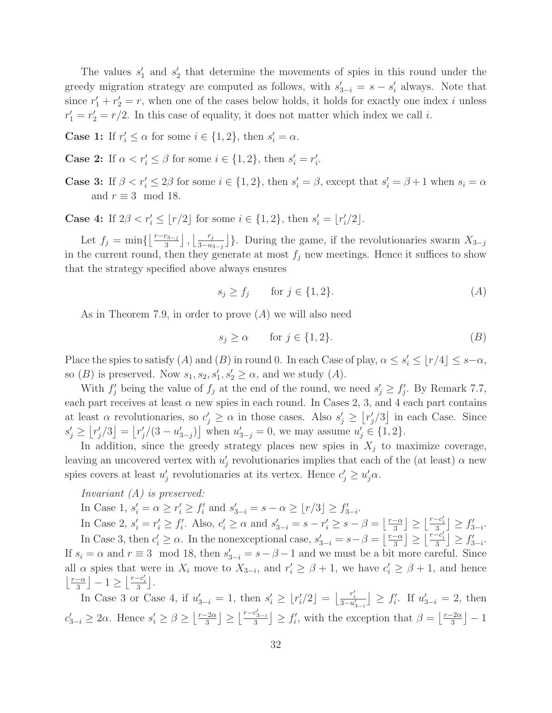The values  $s'_1$  and  $s'_2$  that determine the movements of spies in this round under the greedy migration strategy are computed as follows, with  $s'_{3-i} = s - s'_i$  always. Note that since  $r'_1 + r'_2 = r$ , when one of the cases below holds, it holds for exactly one index i unless  $r'_1 = r'_2 = r/2$ . In this case of equality, it does not matter which index we call *i*.

**Case 1:** If  $r'_i \leq \alpha$  for some  $i \in \{1, 2\}$ , then  $s'_i = \alpha$ .

**Case 2:** If  $\alpha < r'_i \leq \beta$  for some  $i \in \{1, 2\}$ , then  $s'_i = r'_i$ .

**Case 3:** If  $\beta < r'_i \leq 2\beta$  for some  $i \in \{1, 2\}$ , then  $s'_i = \beta$ , except that  $s'_i = \beta + 1$  when  $s_i = \alpha$ and  $r \equiv 3 \mod 18$ .

**Case 4:** If  $2\beta < r'_i \leq \lfloor r/2 \rfloor$  for some  $i \in \{1, 2\}$ , then  $s'_i = \lfloor r'_i/2 \rfloor$ .

Let  $f_j = \min\{\left\lfloor \frac{r-c_{3-j}}{3}\right\rfloor, \left\lfloor \frac{r_j}{3-u_{3-j}}\right\rfloor\}$ . During the game, if the revolutionaries swarm  $X_{3-j}$ in the current round, then they generate at most  $f_j$  new meetings. Hence it suffices to show that the strategy specified above always ensures

$$
s_j \ge f_j \qquad \text{for } j \in \{1, 2\}.\tag{A}
$$

As in Theorem 7.9, in order to prove (A) we will also need

$$
s_j \ge \alpha \qquad \text{for } j \in \{1, 2\}.\tag{B}
$$

Place the spies to satisfy  $(A)$  and  $(B)$  in round 0. In each Case of play,  $\alpha \leq s'_{i} \leq \lfloor r/4 \rfloor \leq s-\alpha$ , so  $(B)$  is preserved. Now  $s_1, s_2, s'_1, s'_2 \geq \alpha$ , and we study  $(A)$ .

With  $f'_j$  being the value of  $f_j$  at the end of the round, we need  $s'_j \geq f'_j$ . By Remark 7.7, each part receives at least  $\alpha$  new spies in each round. In Cases 2, 3, and 4 each part contains at least  $\alpha$  revolutionaries, so  $c'_j \ge \alpha$  in those cases. Also  $s'_j \ge [r'_j/3]$  in each Case. Since  $s'_j \geq [r'_j/3] = [r'_j/(3 - u'_{3-j})]$  when  $u'_{3-j} = 0$ , we may assume  $u'_j \in \{1, 2\}$ .

In addition, since the greedy strategy places new spies in  $X_i$  to maximize coverage, leaving an uncovered vertex with  $u'_{j}$  revolutionaries implies that each of the (at least)  $\alpha$  new spies covers at least  $u'_j$  revolutionaries at its vertex. Hence  $c'_j \ge u'_j \alpha$ .

#### *Invariant (A) is preserved:*

In Case 1,  $s'_i = \alpha \ge r'_i \ge f'_i$  and  $s'_{3-i} = s - \alpha \ge [r/3] \ge f'_{3-i}$ .

In Case 2,  $s'_i = r'_i \ge f'_i$ . Also,  $c'_i \ge \alpha$  and  $s'_{3-i} = s - r'_i \ge s - \beta = \left\lfloor \frac{r-\alpha}{3} \right\rfloor \ge \left\lfloor \frac{r-c'_i}{3} \right\rfloor \ge f'_{3-i}$ . In Case 3, then  $c'_i \geq \alpha$ . In the nonexceptional case,  $s'_{3-i} = s - \beta = \left\lfloor \frac{r-\alpha}{3} \right\rfloor \geq \left\lfloor \frac{r-c'_i}{3} \right\rfloor \geq f'_{3-i}$ . If  $s_i = \alpha$  and  $r \equiv 3 \mod 18$ , then  $s'_{3-i} = s - \beta - 1$  and we must be a bit more careful. Since all  $\alpha$  spies that were in  $X_i$  move to  $X_{3-i}$ , and  $r'_i \geq \beta + 1$ , we have  $c'_i \geq \beta + 1$ , and hence  $\lfloor \frac{r-\alpha}{3} \rfloor - 1 \ge \lfloor \frac{r-c'_i}{3} \rfloor.$ 

In Case 3 or Case 4, if  $u'_{3-i} = 1$ , then  $s'_i \geq \lfloor r'_i/2 \rfloor = \lfloor \frac{r'_i}{3 - u'_{3-i}} \rfloor \geq f'_i$ . If  $u'_{3-i} = 2$ , then  $c'_{3-i} \geq 2\alpha$ . Hence  $s'_i \geq \beta \geq \left\lfloor \frac{r-2\alpha}{3} \right\rfloor \geq \left\lfloor \frac{r-c'_{3-i}}{3} \right\rfloor$  $\left[\frac{c_{3-i}}{3}\right] \ge f'_i$ , with the exception that  $\beta = \left\lfloor \frac{r-2\alpha}{3} \right\rfloor - 1$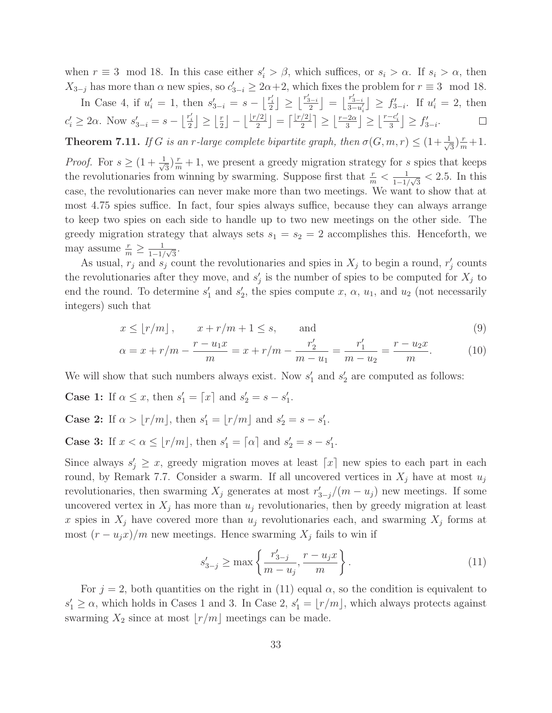when  $r \equiv 3 \mod 18$ . In this case either  $s_i' > \beta$ , which suffices, or  $s_i > \alpha$ . If  $s_i > \alpha$ , then  $X_{3-j}$  has more than  $\alpha$  new spies, so  $c'_{3-i} \geq 2\alpha+2$ , which fixes the problem for  $r \equiv 3 \mod 18$ .

In Case 4, if  $u'_i = 1$ , then  $s'_{3-i} = s - \left\lfloor \frac{r'_i}{2} \right\rfloor \ge \left\lfloor \frac{r'_{3-i}}{2} \right\rfloor$  $\left[\frac{r'_{3-i}}{3-u'_i}\right] \geq f'_{3-i}$ . If  $u'_i = 2$ , then  $3-u'_i$  $c'_i \geq 2\alpha$ . Now  $s'_{3-i} = s - \left\lfloor \frac{r'_i}{2} \right\rfloor \geq \left\lfloor \frac{r}{2} \right\rfloor$  $\lfloor \frac{r}{2} \rfloor - \lfloor \frac{\lfloor r/2 \rfloor}{2} \rfloor = \lceil \frac{\lfloor r/2 \rfloor}{2} \rceil \ge \lfloor \frac{r-2\alpha}{3} \rfloor \ge \lfloor \frac{r-c_i'}{3} \rfloor \ge f'_{3-i}.$  $\Box$ 

**Theorem 7.11.** *If* G *is an r*-large complete bipartite graph, then  $\sigma(G, m, r) \leq (1 + \frac{1}{\sqrt{2\pi}})$  $(\frac{r}{3})^{\frac{r}{m}} + 1.$ 

*Proof.* For  $s \geq (1 + \frac{1}{\sqrt{s}})$  $\frac{1}{3}\left(\frac{r}{m}+1\right)$ , we present a greedy migration strategy for s spies that keeps the revolutionaries from winning by swarming. Suppose first that  $\frac{r}{m} < \frac{1}{1-r}$  $\frac{1}{1-1/\sqrt{3}} < 2.5$ . In this case, the revolutionaries can never make more than two meetings. We want to show that at most 4.75 spies suffice. In fact, four spies always suffice, because they can always arrange to keep two spies on each side to handle up to two new meetings on the other side. The greedy migration strategy that always sets  $s_1 = s_2 = 2$  accomplishes this. Henceforth, we may assume  $\frac{r}{m} \geq \frac{1}{1-1}$  $\frac{1}{1-1/\sqrt{3}}$ .

As usual,  $r_j$  and  $s_j$  count the revolutionaries and spies in  $X_j$  to begin a round,  $r'_j$  counts the revolutionaries after they move, and  $s'_{j}$  is the number of spies to be computed for  $X_{j}$  to end the round. To determine  $s'_1$  and  $s'_2$ , the spies compute x,  $\alpha$ ,  $u_1$ , and  $u_2$  (not necessarily integers) such that

$$
x \le \lfloor r/m \rfloor, \qquad x + r/m + 1 \le s, \qquad \text{and} \tag{9}
$$

$$
\alpha = x + r/m - \frac{r - u_1 x}{m} = x + r/m - \frac{r'_2}{m - u_1} = \frac{r'_1}{m - u_2} = \frac{r - u_2 x}{m}.
$$
 (10)

We will show that such numbers always exist. Now  $s'_1$  and  $s'_2$  are computed as follows:

**Case 1:** If  $\alpha \leq x$ , then  $s'_1 = [x]$  and  $s'_2 = s - s'_1$ .

**Case 2:** If  $\alpha > \lfloor r/m \rfloor$ , then  $s'_1 = \lfloor r/m \rfloor$  and  $s'_2 = s - s'_1$ .

**Case 3:** If  $x < \alpha \leq \lfloor r/m \rfloor$ , then  $s'_1 = \lceil \alpha \rceil$  and  $s'_2 = s - s'_1$ .

Since always  $s'_j \geq x$ , greedy migration moves at least  $\lceil x \rceil$  new spies to each part in each round, by Remark 7.7. Consider a swarm. If all uncovered vertices in  $X_j$  have at most  $u_j$ revolutionaries, then swarming  $X_j$  generates at most  $r'_{3-j}/(m-u_j)$  new meetings. If some uncovered vertex in  $X_i$  has more than  $u_i$  revolutionaries, then by greedy migration at least x spies in  $X_j$  have covered more than  $u_j$  revolutionaries each, and swarming  $X_j$  forms at most  $(r - u_j x)/m$  new meetings. Hence swarming  $X_j$  fails to win if

$$
s'_{3-j} \ge \max\left\{\frac{r'_{3-j}}{m-u_j}, \frac{r-u_jx}{m}\right\}.
$$
 (11)

For  $j = 2$ , both quantities on the right in (11) equal  $\alpha$ , so the condition is equivalent to  $s'_1 \geq \alpha$ , which holds in Cases 1 and 3. In Case 2,  $s'_1 = \lfloor r/m \rfloor$ , which always protects against swarming  $X_2$  since at most  $\lfloor r/m \rfloor$  meetings can be made.